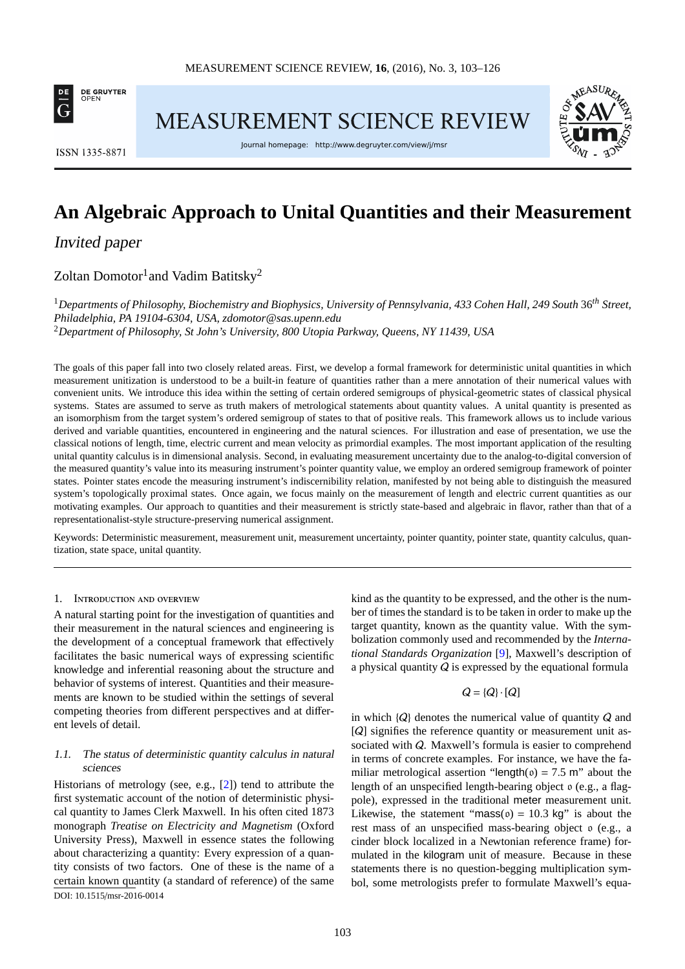

**MEASUREMENT SCIENCE REVIEW** 



**ISSN 1335-8871** 

Journal homepage: http://www.degruyter.com/view/j/msr

# **An Algebraic Approach to Unital Quantities and their Measurement**

Invited paper

Zoltan Domotor $^{\rm l}$ and Vadim Batitsky $^{\rm 2}$ 

<sup>1</sup>*Departments of Philosophy, Biochemistry and Biophysics, University of Pennsylvania, 433 Cohen Hall, 249 South* 36*th Street, Philadelphia, PA 19104-6304, USA, [zdomotor@sas.upenn.edu](mailto:zdomotor@sas.upenn.edu)* <sup>2</sup>*Department of Philosophy, St John's University, 800 Utopia Parkway, Queens, NY 11439, USA*

The goals of this paper fall into two closely related areas. First, we develop a formal framework for deterministic unital quantities in which measurement unitization is understood to be a built-in feature of quantities rather than a mere annotation of their numerical values with convenient units. We introduce this idea within the setting of certain ordered semigroups of physical-geometric states of classical physical systems. States are assumed to serve as truth makers of metrological statements about quantity values. A unital quantity is presented as an isomorphism from the target system's ordered semigroup of states to that of positive reals. This framework allows us to include various derived and variable quantities, encountered in engineering and the natural sciences. For illustration and ease of presentation, we use the classical notions of length, time, electric current and mean velocity as primordial examples. The most important application of the resulting unital quantity calculus is in dimensional analysis. Second, in evaluating measurement uncertainty due to the analog-to-digital conversion of the measured quantity's value into its measuring instrument's pointer quantity value, we employ an ordered semigroup framework of pointer states. Pointer states encode the measuring instrument's indiscernibility relation, manifested by not being able to distinguish the measured system's topologically proximal states. Once again, we focus mainly on the measurement of length and electric current quantities as our motivating examples. Our approach to quantities and their measurement is strictly state-based and algebraic in flavor, rather than that of a representationalist-style structure-preserving numerical assignment.

Keywords: Deterministic measurement, measurement unit, measurement uncertainty, pointer quantity, pointer state, quantity calculus, quantization, state space, unital quantity.

#### 1. Introduction and overview

A natural starting point for the investigation of quantities and their measurement in the natural sciences and engineering is the development of a conceptual framework that effectively facilitates the basic numerical ways of expressing scientific knowledge and inferential reasoning about the structure and behavior of systems of interest. Quantities and their measurements are known to be studied within the settings of several competing theories from different perspectives and at different levels of detail.

# 1.1. The status of deterministic quantity calculus in natural sciences

Historians of metrology (see, e.g., [\[2\]](#page-22-0)) tend to attribute the first systematic account of the notion of deterministic physical quantity to James Clerk Maxwell. In his often cited 1873 monograph *Treatise on Electricity and Magnetism* (Oxford University Press), Maxwell in essence states the following about characterizing a quantity: Every expression of a quantity consists of two factors. One of these is the name of a certain known quantity (a standard of reference) of the same DOI: 10.1515/[msr-2016-0014](http://dx.doi.org/10.1515/msr-2016-0014)

kind as the quantity to be expressed, and the other is the number of times the standard is to be taken in order to make up the target quantity, known as the quantity value. With the symbolization commonly used and recommended by the *International Standards Organization* [\[9\]](#page-23-0), Maxwell's description of a physical quantity  $Q$  is expressed by the equational formula

 $Q = \{Q\} \cdot [Q]$ 

in which  $\{Q\}$  denotes the numerical value of quantity  $Q$  and [Q] signifies the reference quantity or measurement unit associated with Q. Maxwell's formula is easier to comprehend in terms of concrete examples. For instance, we have the familiar metrological assertion "length( $v$ ) = 7.5 m" about the length of an unspecified length-bearing object o (e.g., a flagpole), expressed in the traditional meter measurement unit. Likewise, the statement "mass( $\upsilon$ ) = 10.3 kg" is about the rest mass of an unspecified mass-bearing object o (e.g., a cinder block localized in a Newtonian reference frame) formulated in the kilogram unit of measure. Because in these statements there is no question-begging multiplication symbol, some metrologists prefer to formulate Maxwell's equa-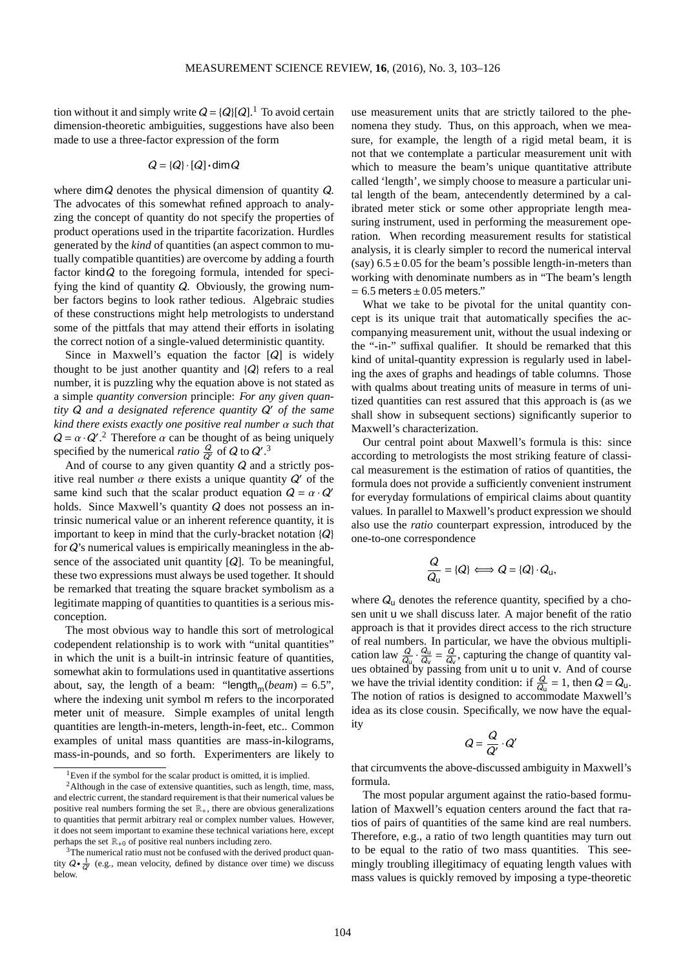tion without it and simply write  $Q = \{Q\} [Q]$ .<sup>[1](#page-1-0)</sup> To avoid certain dimension-theoretic ambiguities, suggestions have also been made to use a three-factor expression of the form

$$
Q = \{Q\} \cdot [Q] \cdot \dim Q
$$

where  $\dim Q$  denotes the physical dimension of quantity  $Q$ . The advocates of this somewhat refined approach to analyzing the concept of quantity do not specify the properties of product operations used in the tripartite facorization. Hurdles generated by the *kind* of quantities (an aspect common to mutually compatible quantities) are overcome by adding a fourth factor kind $Q$  to the foregoing formula, intended for specifying the kind of quantity Q. Obviously, the growing number factors begins to look rather tedious. Algebraic studies of these constructions might help metrologists to understand some of the pittfals that may attend their efforts in isolating the correct notion of a single-valued deterministic quantity.

Since in Maxwell's equation the factor  $[Q]$  is widely thought to be just another quantity and  ${Q}$  refers to a real number, it is puzzling why the equation above is not stated as a simple *quantity conversion* principle: *For any given quantity* Q *and a designated reference quantity* Q ′ *of the same kind there exists exactly one positive real number* α *such that*  $Q = \alpha \cdot Q'$ .<sup>[2](#page-1-1)</sup> Therefore  $\alpha$  can be thought of as being uniquely specified by the numerical *ratio*  $\frac{Q}{Q'}$  of Q to  $Q'$ .<sup>[3](#page-1-2)</sup>

And of course to any given quantity  $Q$  and a strictly positive real number  $\alpha$  there exists a unique quantity  $Q'$  of the same kind such that the scalar product equation  $Q = \alpha \cdot Q'$ holds. Since Maxwell's quantity Q does not possess an intrinsic numerical value or an inherent reference quantity, it is important to keep in mind that the curly-bracket notation {Q} for  $Q$ 's numerical values is empirically meaningless in the absence of the associated unit quantity  $[Q]$ . To be meaningful, these two expressions must always be used together. It should be remarked that treating the square bracket symbolism as a legitimate mapping of quantities to quantities is a serious misconception.

The most obvious way to handle this sort of metrological codependent relationship is to work with "unital quantities" in which the unit is a built-in intrinsic feature of quantities, somewhat akin to formulations used in quantitative assertions about, say, the length of a beam: "length<sub>m</sub>(*beam*) = 6.5", where the indexing unit symbol m refers to the incorporated meter unit of measure. Simple examples of unital length quantities are length-in-meters, length-in-feet, etc.. Common examples of unital mass quantities are mass-in-kilograms, mass-in-pounds, and so forth. Experimenters are likely to use measurement units that are strictly tailored to the phenomena they study. Thus, on this approach, when we measure, for example, the length of a rigid metal beam, it is not that we contemplate a particular measurement unit with which to measure the beam's unique quantitative attribute called 'length', we simply choose to measure a particular unital length of the beam, antecendently determined by a calibrated meter stick or some other appropriate length measuring instrument, used in performing the measurement operation. When recording measurement results for statistical analysis, it is clearly simpler to record the numerical interval (say)  $6.5 \pm 0.05$  for the beam's possible length-in-meters than working with denominate numbers as in "The beam's length  $= 6.5$  meters  $\pm 0.05$  meters."

What we take to be pivotal for the unital quantity concept is its unique trait that automatically specifies the accompanying measurement unit, without the usual indexing or the "-in-" suffixal qualifier. It should be remarked that this kind of unital-quantity expression is regularly used in labeling the axes of graphs and headings of table columns. Those with qualms about treating units of measure in terms of unitized quantities can rest assured that this approach is (as we shall show in subsequent sections) significantly superior to Maxwell's characterization.

Our central point about Maxwell's formula is this: since according to metrologists the most striking feature of classical measurement is the estimation of ratios of quantities, the formula does not provide a sufficiently convenient instrument for everyday formulations of empirical claims about quantity values. In parallel to Maxwell's product expression we should also use the *ratio* counterpart expression, introduced by the one-to-one correspondence

$$
\frac{Q}{Q_{\mathsf{u}}} = \{Q\} \Longleftrightarrow Q = \{Q\} \cdot Q_{\mathsf{u}},
$$

where  $Q_{\rm u}$  denotes the reference quantity, specified by a chosen unit u we shall discuss later. A major benefit of the ratio approach is that it provides direct access to the rich structure of real numbers. In particular, we have the obvious multiplication law  $\frac{Q}{Q_u} \cdot \frac{Q_u}{Q_v}$  $\frac{Q_u}{Q_v} = \frac{Q}{Q_v}$ , capturing the change of quantity values obtained by passing from unit u to unit v. And of course we have the trivial identity condition: if  $\frac{Q}{Q_u} = 1$ , then  $Q = Q_u$ . The notion of ratios is designed to accommodate Maxwell's idea as its close cousin. Specifically, we now have the equality

$$
Q = \frac{Q}{Q'} \cdot Q'
$$

that circumvents the above-discussed ambiguity in Maxwell's formula.

The most popular argument against the ratio-based formulation of Maxwell's equation centers around the fact that ratios of pairs of quantities of the same kind are real numbers. Therefore, e.g., a ratio of two length quantities may turn out to be equal to the ratio of two mass quantities. This seemingly troubling illegitimacy of equating length values with mass values is quickly removed by imposing a type-theoretic

<span id="page-1-0"></span><sup>&</sup>lt;sup>1</sup>Even if the symbol for the scalar product is omitted, it is implied.

<span id="page-1-1"></span> $2$ Although in the case of extensive quantities, such as length, time, mass, and electric current, the standard requirement is that their numerical values be positive real numbers forming the set  $\mathbb{R}_+$ , there are obvious generalizations to quantities that permit arbitrary real or complex number values. However, it does not seem important to examine these technical variations here, except perhaps the set  $\mathbb{R}_{+0}$  of positive real nunbers including zero.

<span id="page-1-2"></span><sup>&</sup>lt;sup>3</sup>The numerical ratio must not be confused with the derived product quantity  $Q \cdot \frac{1}{Q'}$  (e.g., mean velocity, defined by distance over time) we discuss below.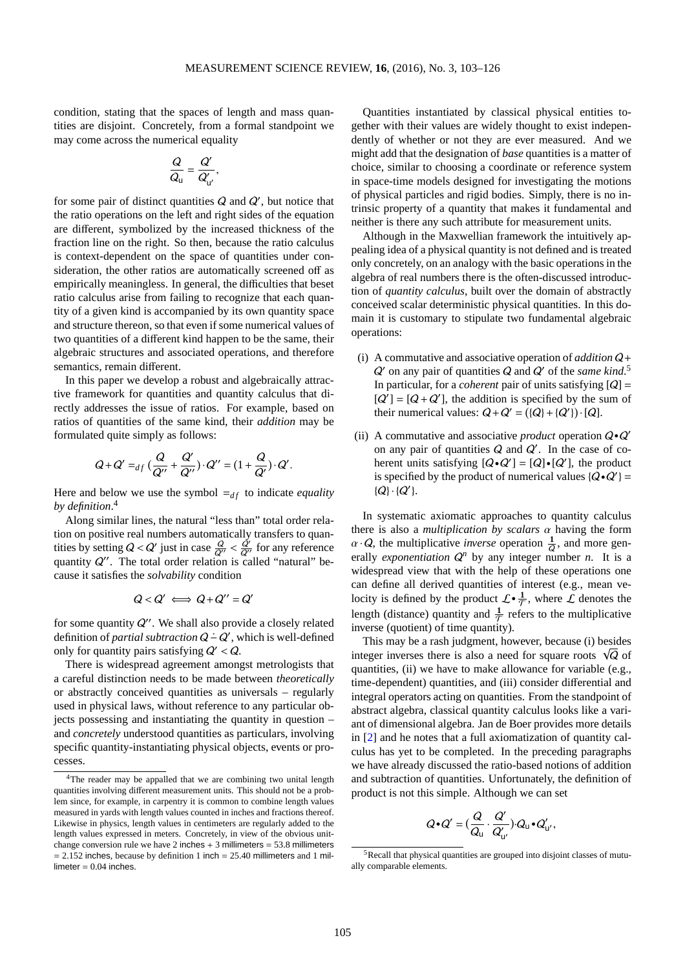condition, stating that the spaces of length and mass quantities are disjoint. Concretely, from a formal standpoint we may come across the numerical equality

$$
\frac{Q}{Q_{\rm u}}=\frac{Q'}{Q'_{\rm u'}},
$$

for some pair of distinct quantities  $Q$  and  $Q'$ , but notice that the ratio operations on the left and right sides of the equation are different, symbolized by the increased thickness of the fraction line on the right. So then, because the ratio calculus is context-dependent on the space of quantities under consideration, the other ratios are automatically screened off as empirically meaningless. In general, the difficulties that beset ratio calculus arise from failing to recognize that each quantity of a given kind is accompanied by its own quantity space and structure thereon, so that even if some numerical values of two quantities of a different kind happen to be the same, their algebraic structures and associated operations, and therefore semantics, remain different.

In this paper we develop a robust and algebraically attractive framework for quantities and quantity calculus that directly addresses the issue of ratios. For example, based on ratios of quantities of the same kind, their *addition* may be formulated quite simply as follows:

$$
Q + Q' =_{df} (\frac{Q}{Q''} + \frac{Q'}{Q''}) \cdot Q'' = (1 + \frac{Q}{Q'}) \cdot Q'.
$$

Here and below we use the symbol  $=_{df}$  to indicate *equality by definition*. [4](#page-2-0)

Along similar lines, the natural "less than" total order relation on positive real numbers automatically transfers to quantities by setting  $Q < Q'$  just in case  $\frac{Q}{Q'} < \frac{Q'}{Q'}$  for any reference quantity  $Q''$ . The total order relation is called "natural" because it satisfies the *solvability* condition

$$
Q < Q' \iff Q + Q'' = Q'
$$

for some quantity  $Q''$ . We shall also provide a closely related definition of *partial subtraction*  $Q - Q'$ , which is well-defined only for quantity pairs satisfying  $Q' < Q$ .

There is widespread agreement amongst metrologists that a careful distinction needs to be made between *theoretically* or abstractly conceived quantities as universals – regularly used in physical laws, without reference to any particular objects possessing and instantiating the quantity in question – and *concretely* understood quantities as particulars, involving specific quantity-instantiating physical objects, events or processes.

Quantities instantiated by classical physical entities together with their values are widely thought to exist independently of whether or not they are ever measured. And we might add that the designation of *base* quantities is a matter of choice, similar to choosing a coordinate or reference system in space-time models designed for investigating the motions of physical particles and rigid bodies. Simply, there is no intrinsic property of a quantity that makes it fundamental and neither is there any such attribute for measurement units.

Although in the Maxwellian framework the intuitively appealing idea of a physical quantity is not defined and is treated only concretely, on an analogy with the basic operations in the algebra of real numbers there is the often-discussed introduction of *quantity calculus*, built over the domain of abstractly conceived scalar deterministic physical quantities. In this domain it is customary to stipulate two fundamental algebraic operations:

- (i) A commutative and associative operation of *addition* Q+ Q ′ on any pair of quantities Q and Q ′ of the *same kind*. [5](#page-2-1) In particular, for a *coherent* pair of units satisfying  $[Q] =$  $[Q'] = [Q + Q']$ , the addition is specified by the sum of their numerical values:  $Q + Q' = (\lbrace Q \rbrace + \lbrace Q' \rbrace) \cdot [Q]$ .
- (ii) A commutative and associative *product* operation Q•Q ′ on any pair of quantities  $Q$  and  $Q'$ . In the case of coherent units satisfying  $[Q \cdot Q'] = [Q] \cdot [Q']$ , the product is specified by the product of numerical values  $\{Q \bullet Q'\} =$  ${Q} \cdot {Q'}$ .

In systematic axiomatic approaches to quantity calculus there is also a *multiplication by scalars* α having the form  $\alpha \cdot Q$ , the multiplicative *inverse* operation  $\frac{1}{Q}$ , and more generally *exponentiation*  $Q^n$  by any integer number *n*. It is a widespread view that with the help of these operations one can define all derived quantities of interest (e.g., mean velocity is defined by the product  $\mathcal{L} \cdot \frac{1}{\mathcal{T}}$ , where  $\mathcal{L}$  denotes the length (distance) quantity and  $\frac{1}{\tau}$  refers to the multiplicative inverse (quotient) of time quantity).

This may be a rash judgment, however, because (i) besides integer inverses there is also a need for square roots  $\sqrt{Q}$  of quantities, (ii) we have to make allowance for variable (e.g., time-dependent) quantities, and (iii) consider differential and integral operators acting on quantities. From the standpoint of abstract algebra, classical quantity calculus looks like a variant of dimensional algebra. Jan de Boer provides more details in [\[2\]](#page-22-0) and he notes that a full axiomatization of quantity calculus has yet to be completed. In the preceding paragraphs we have already discussed the ratio-based notions of addition and subtraction of quantities. Unfortunately, the definition of product is not this simple. Although we can set

$$
Q \bullet Q' = \left(\frac{Q}{Q_{\rm u}} \cdot \frac{Q'}{Q'_{\rm u'}}\right) \cdot Q_{\rm u} \bullet Q'_{\rm u'},
$$

<span id="page-2-0"></span><sup>4</sup>The reader may be appalled that we are combining two unital length quantities involving different measurement units. This should not be a problem since, for example, in carpentry it is common to combine length values measured in yards with length values counted in inches and fractions thereof. Likewise in physics, length values in centimeters are regularly added to the length values expressed in meters. Concretely, in view of the obvious unitchange conversion rule we have  $2$  inches  $+3$  millimeters = 53.8 millimeters  $= 2.152$  inches, because by definition 1 inch  $= 25.40$  millimeters and 1 millimeter  $= 0.04$  inches.

<span id="page-2-1"></span><sup>5</sup>Recall that physical quantities are grouped into disjoint classes of mutually comparable elements.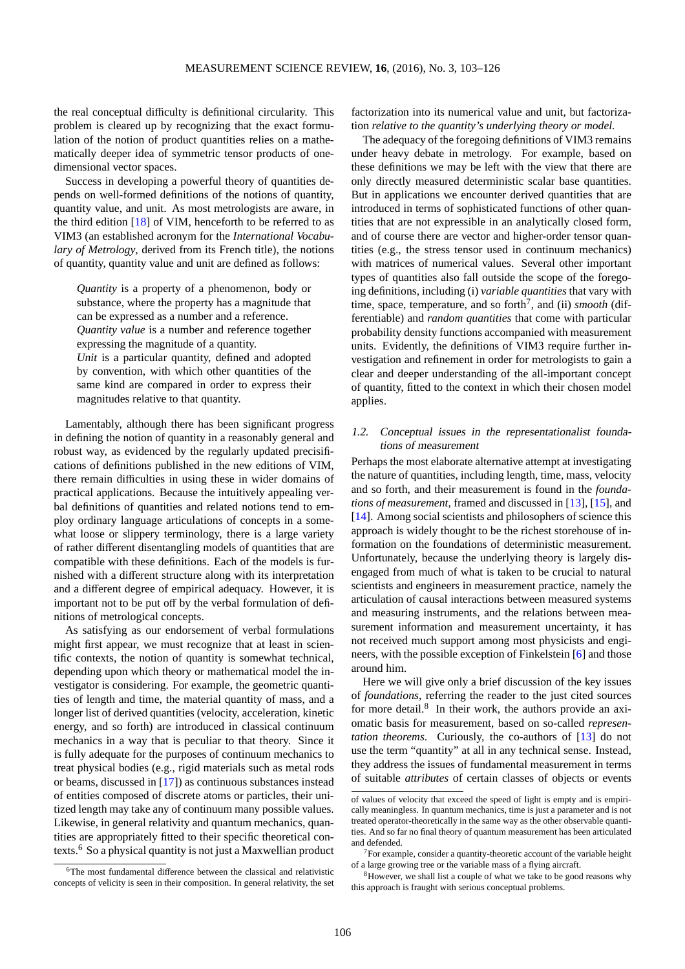the real conceptual difficulty is definitional circularity. This problem is cleared up by recognizing that the exact formulation of the notion of product quantities relies on a mathematically deeper idea of symmetric tensor products of onedimensional vector spaces.

Success in developing a powerful theory of quantities depends on well-formed definitions of the notions of quantity, quantity value, and unit. As most metrologists are aware, in the third edition [\[18\]](#page-23-1) of VIM, henceforth to be referred to as VIM3 (an established acronym for the *International Vocabulary of Metrology*, derived from its French title), the notions of quantity, quantity value and unit are defined as follows:

*Quantity* is a property of a phenomenon, body or substance, where the property has a magnitude that can be expressed as a number and a reference. *Quantity value* is a number and reference together expressing the magnitude of a quantity. *Unit* is a particular quantity, defined and adopted by convention, with which other quantities of the

same kind are compared in order to express their magnitudes relative to that quantity.

Lamentably, although there has been significant progress in defining the notion of quantity in a reasonably general and robust way, as evidenced by the regularly updated precisifications of definitions published in the new editions of VIM, there remain difficulties in using these in wider domains of practical applications. Because the intuitively appealing verbal definitions of quantities and related notions tend to employ ordinary language articulations of concepts in a somewhat loose or slippery terminology, there is a large variety of rather different disentangling models of quantities that are compatible with these definitions. Each of the models is furnished with a different structure along with its interpretation and a different degree of empirical adequacy. However, it is important not to be put off by the verbal formulation of definitions of metrological concepts.

As satisfying as our endorsement of verbal formulations might first appear, we must recognize that at least in scientific contexts, the notion of quantity is somewhat technical, depending upon which theory or mathematical model the investigator is considering. For example, the geometric quantities of length and time, the material quantity of mass, and a longer list of derived quantities (velocity, acceleration, kinetic energy, and so forth) are introduced in classical continuum mechanics in a way that is peculiar to that theory. Since it is fully adequate for the purposes of continuum mechanics to treat physical bodies (e.g., rigid materials such as metal rods or beams, discussed in [\[17\]](#page-23-2)) as continuous substances instead of entities composed of discrete atoms or particles, their unitized length may take any of continuum many possible values. Likewise, in general relativity and quantum mechanics, quantities are appropriately fitted to their specific theoretical contexts.[6](#page-3-0) So a physical quantity is not just a Maxwellian product factorization into its numerical value and unit, but factorization *relative to the quantity's underlying theory or model.*

The adequacy of the foregoing definitions of VIM3 remains under heavy debate in metrology. For example, based on these definitions we may be left with the view that there are only directly measured deterministic scalar base quantities. But in applications we encounter derived quantities that are introduced in terms of sophisticated functions of other quantities that are not expressible in an analytically closed form, and of course there are vector and higher-order tensor quantities (e.g., the stress tensor used in continuum mechanics) with matrices of numerical values. Several other important types of quantities also fall outside the scope of the foregoing definitions, including (i) *variable quantities* that vary with time, space, temperature, and so forth<sup>[7](#page-3-1)</sup>, and (ii) *smooth* (differentiable) and *random quantities* that come with particular probability density functions accompanied with measurement units. Evidently, the definitions of VIM3 require further investigation and refinement in order for metrologists to gain a clear and deeper understanding of the all-important concept of quantity, fitted to the context in which their chosen model applies.

# 1.2. Conceptual issues in the representationalist foundations of measurement

Perhaps the most elaborate alternative attempt at investigating the nature of quantities, including length, time, mass, velocity and so forth, and their measurement is found in the *foundations of measurement*, framed and discussed in [\[13\]](#page-23-3), [\[15\]](#page-23-4), and [\[14\]](#page-23-5). Among social scientists and philosophers of science this approach is widely thought to be the richest storehouse of information on the foundations of deterministic measurement. Unfortunately, because the underlying theory is largely disengaged from much of what is taken to be crucial to natural scientists and engineers in measurement practice, namely the articulation of causal interactions between measured systems and measuring instruments, and the relations between measurement information and measurement uncertainty, it has not received much support among most physicists and engineers, with the possible exception of Finkelstein [\[6\]](#page-23-6) and those around him.

Here we will give only a brief discussion of the key issues of *foundations*, referring the reader to the just cited sources for more detail.<sup>[8](#page-3-2)</sup> In their work, the authors provide an axiomatic basis for measurement, based on so-called *representation theorems*. Curiously, the co-authors of [\[13\]](#page-23-3) do not use the term "quantity" at all in any technical sense. Instead, they address the issues of fundamental measurement in terms of suitable *attributes* of certain classes of objects or events

of values of velocity that exceed the speed of light is empty and is empirically meaningless. In quantum mechanics, time is just a parameter and is not treated operator-theoretically in the same way as the other observable quantities. And so far no final theory of quantum measurement has been articulated and defended.

<span id="page-3-1"></span> $7$ For example, consider a quantity-theoretic account of the variable height of a large growing tree or the variable mass of a flying aircraft.

<span id="page-3-2"></span><sup>8</sup>However, we shall list a couple of what we take to be good reasons why this approach is fraught with serious conceptual problems.

<span id="page-3-0"></span><sup>6</sup>The most fundamental difference between the classical and relativistic concepts of velicity is seen in their composition. In general relativity, the set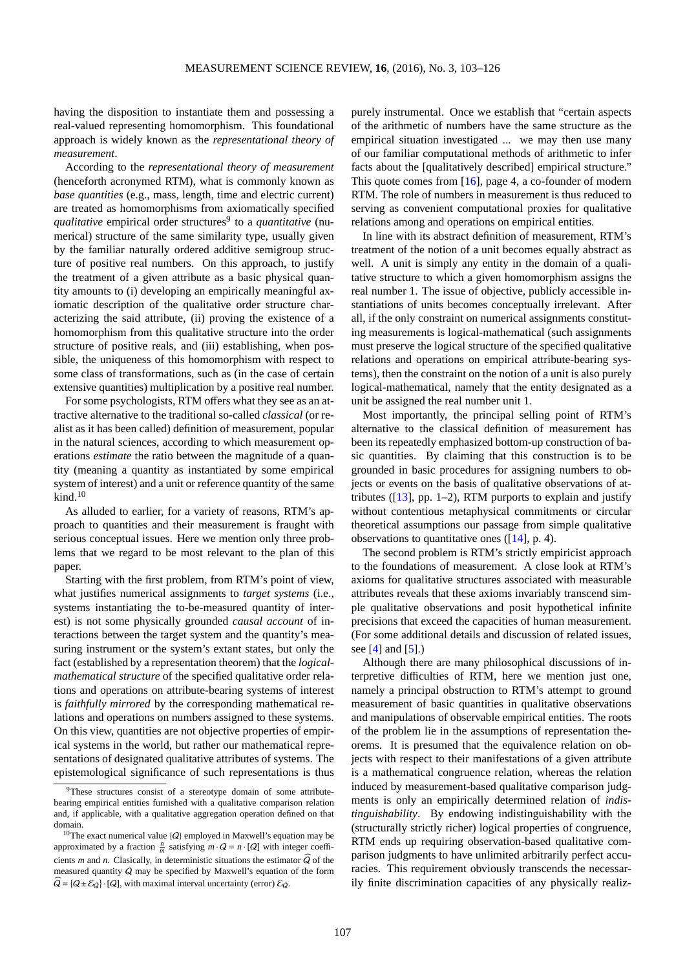having the disposition to instantiate them and possessing a real-valued representing homomorphism. This foundational approach is widely known as the *representational theory of measurement*.

According to the *representational theory of measurement* (henceforth acronymed RTM), what is commonly known as *base quantities* (e.g., mass, length, time and electric current) are treated as homomorphisms from axiomatically specified *qualitative* empirical order structures<sup>[9](#page-4-0)</sup> to a *quantitative* (numerical) structure of the same similarity type, usually given by the familiar naturally ordered additive semigroup structure of positive real numbers. On this approach, to justify the treatment of a given attribute as a basic physical quantity amounts to (i) developing an empirically meaningful axiomatic description of the qualitative order structure characterizing the said attribute, (ii) proving the existence of a homomorphism from this qualitative structure into the order structure of positive reals, and (iii) establishing, when possible, the uniqueness of this homomorphism with respect to some class of transformations, such as (in the case of certain extensive quantities) multiplication by a positive real number.

For some psychologists, RTM offers what they see as an attractive alternative to the traditional so-called *classical* (or realist as it has been called) definition of measurement, popular in the natural sciences, according to which measurement operations *estimate* the ratio between the magnitude of a quantity (meaning a quantity as instantiated by some empirical system of interest) and a unit or reference quantity of the same  $kind.<sup>10</sup>$  $kind.<sup>10</sup>$  $kind.<sup>10</sup>$ 

As alluded to earlier, for a variety of reasons, RTM's approach to quantities and their measurement is fraught with serious conceptual issues. Here we mention only three problems that we regard to be most relevant to the plan of this paper.

Starting with the first problem, from RTM's point of view, what justifies numerical assignments to *target systems* (i.e., systems instantiating the to-be-measured quantity of interest) is not some physically grounded *causal account* of interactions between the target system and the quantity's measuring instrument or the system's extant states, but only the fact (established by a representation theorem) that the *logicalmathematical structure* of the specified qualitative order relations and operations on attribute-bearing systems of interest is *faithfully mirrored* by the corresponding mathematical relations and operations on numbers assigned to these systems. On this view, quantities are not objective properties of empirical systems in the world, but rather our mathematical representations of designated qualitative attributes of systems. The epistemological significance of such representations is thus

purely instrumental. Once we establish that "certain aspects of the arithmetic of numbers have the same structure as the empirical situation investigated ... we may then use many of our familiar computational methods of arithmetic to infer facts about the [qualitatively described] empirical structure." This quote comes from [\[16\]](#page-23-7), page 4, a co-founder of modern RTM. The role of numbers in measurement is thus reduced to serving as convenient computational proxies for qualitative relations among and operations on empirical entities.

In line with its abstract definition of measurement, RTM's treatment of the notion of a unit becomes equally abstract as well. A unit is simply any entity in the domain of a qualitative structure to which a given homomorphism assigns the real number 1. The issue of objective, publicly accessible instantiations of units becomes conceptually irrelevant. After all, if the only constraint on numerical assignments constituting measurements is logical-mathematical (such assignments must preserve the logical structure of the specified qualitative relations and operations on empirical attribute-bearing systems), then the constraint on the notion of a unit is also purely logical-mathematical, namely that the entity designated as a unit be assigned the real number unit 1.

Most importantly, the principal selling point of RTM's alternative to the classical definition of measurement has been its repeatedly emphasized bottom-up construction of basic quantities. By claiming that this construction is to be grounded in basic procedures for assigning numbers to objects or events on the basis of qualitative observations of attributes ( $[13]$ , pp. 1–2), RTM purports to explain and justify without contentious metaphysical commitments or circular theoretical assumptions our passage from simple qualitative observations to quantitative ones  $(14]$ , p. 4).

The second problem is RTM's strictly empiricist approach to the foundations of measurement. A close look at RTM's axioms for qualitative structures associated with measurable attributes reveals that these axioms invariably transcend simple qualitative observations and posit hypothetical infinite precisions that exceed the capacities of human measurement. (For some additional details and discussion of related issues, see  $[4]$  and  $[5]$ .)

Although there are many philosophical discussions of interpretive difficulties of RTM, here we mention just one, namely a principal obstruction to RTM's attempt to ground measurement of basic quantities in qualitative observations and manipulations of observable empirical entities. The roots of the problem lie in the assumptions of representation theorems. It is presumed that the equivalence relation on objects with respect to their manifestations of a given attribute is a mathematical congruence relation, whereas the relation induced by measurement-based qualitative comparison judgments is only an empirically determined relation of *indistinguishability*. By endowing indistinguishability with the (structurally strictly richer) logical properties of congruence, RTM ends up requiring observation-based qualitative comparison judgments to have unlimited arbitrarily perfect accuracies. This requirement obviously transcends the necessarily finite discrimination capacities of any physically realiz-

<span id="page-4-0"></span><sup>&</sup>lt;sup>9</sup>These structures consist of a stereotype domain of some attributebearing empirical entities furnished with a qualitative comparison relation and, if applicable, with a qualitative aggregation operation defined on that domain.

<span id="page-4-1"></span><sup>&</sup>lt;sup>10</sup>The exact numerical value  ${Q}$  employed in Maxwell's equation may be approximated by a fraction  $\frac{n}{m}$  satisfying  $m \cdot Q = n \cdot [Q]$  with integer coefficients *m* and *n*. Clasically, in deterministic situations the estimator  $\widehat{Q}$  of the measured quantity Q may be specified by Maxwell's equation of the form  $\widehat{Q} = \{Q \pm \mathcal{E}_Q\}\cdot [Q]$ , with maximal interval uncertainty (error)  $\mathcal{E}_Q$ .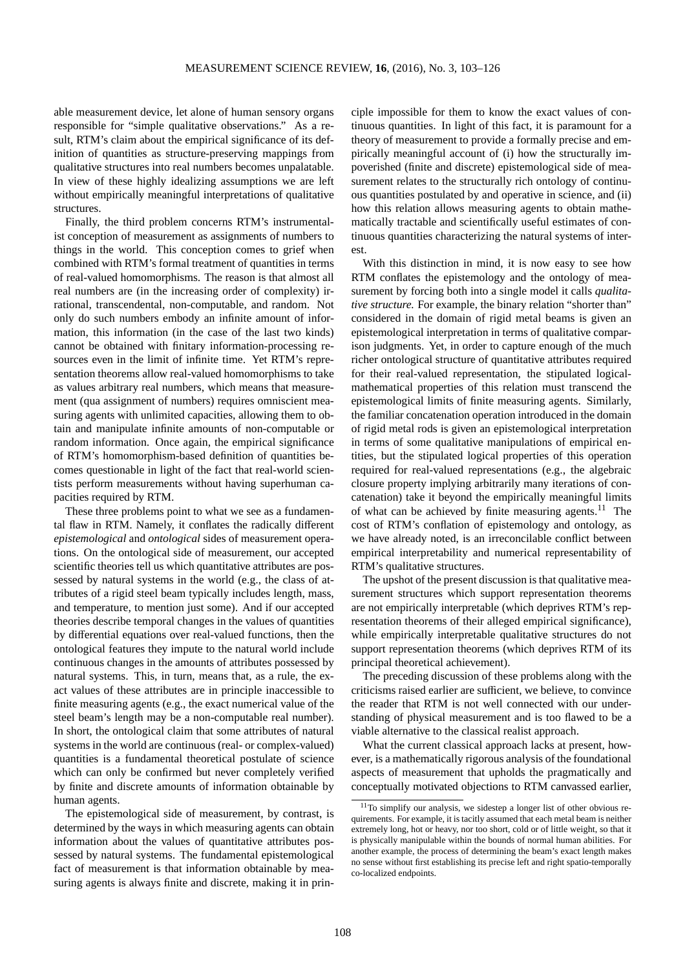able measurement device, let alone of human sensory organs responsible for "simple qualitative observations." As a result, RTM's claim about the empirical significance of its definition of quantities as structure-preserving mappings from qualitative structures into real numbers becomes unpalatable. In view of these highly idealizing assumptions we are left without empirically meaningful interpretations of qualitative structures.

Finally, the third problem concerns RTM's instrumentalist conception of measurement as assignments of numbers to things in the world. This conception comes to grief when combined with RTM's formal treatment of quantities in terms of real-valued homomorphisms. The reason is that almost all real numbers are (in the increasing order of complexity) irrational, transcendental, non-computable, and random. Not only do such numbers embody an infinite amount of information, this information (in the case of the last two kinds) cannot be obtained with finitary information-processing resources even in the limit of infinite time. Yet RTM's representation theorems allow real-valued homomorphisms to take as values arbitrary real numbers, which means that measurement (qua assignment of numbers) requires omniscient measuring agents with unlimited capacities, allowing them to obtain and manipulate infinite amounts of non-computable or random information. Once again, the empirical significance of RTM's homomorphism-based definition of quantities becomes questionable in light of the fact that real-world scientists perform measurements without having superhuman capacities required by RTM.

These three problems point to what we see as a fundamental flaw in RTM. Namely, it conflates the radically different *epistemological* and *ontological* sides of measurement operations. On the ontological side of measurement, our accepted scientific theories tell us which quantitative attributes are possessed by natural systems in the world (e.g., the class of attributes of a rigid steel beam typically includes length, mass, and temperature, to mention just some). And if our accepted theories describe temporal changes in the values of quantities by differential equations over real-valued functions, then the ontological features they impute to the natural world include continuous changes in the amounts of attributes possessed by natural systems. This, in turn, means that, as a rule, the exact values of these attributes are in principle inaccessible to finite measuring agents (e.g., the exact numerical value of the steel beam's length may be a non-computable real number). In short, the ontological claim that some attributes of natural systems in the world are continuous (real- or complex-valued) quantities is a fundamental theoretical postulate of science which can only be confirmed but never completely verified by finite and discrete amounts of information obtainable by human agents.

The epistemological side of measurement, by contrast, is determined by the ways in which measuring agents can obtain information about the values of quantitative attributes possessed by natural systems. The fundamental epistemological fact of measurement is that information obtainable by measuring agents is always finite and discrete, making it in prin-

ciple impossible for them to know the exact values of continuous quantities. In light of this fact, it is paramount for a theory of measurement to provide a formally precise and empirically meaningful account of (i) how the structurally impoverished (finite and discrete) epistemological side of measurement relates to the structurally rich ontology of continuous quantities postulated by and operative in science, and (ii) how this relation allows measuring agents to obtain mathematically tractable and scientifically useful estimates of continuous quantities characterizing the natural systems of interest.

With this distinction in mind, it is now easy to see how RTM conflates the epistemology and the ontology of measurement by forcing both into a single model it calls *qualitative structure.* For example, the binary relation "shorter than" considered in the domain of rigid metal beams is given an epistemological interpretation in terms of qualitative comparison judgments. Yet, in order to capture enough of the much richer ontological structure of quantitative attributes required for their real-valued representation, the stipulated logicalmathematical properties of this relation must transcend the epistemological limits of finite measuring agents. Similarly, the familiar concatenation operation introduced in the domain of rigid metal rods is given an epistemological interpretation in terms of some qualitative manipulations of empirical entities, but the stipulated logical properties of this operation required for real-valued representations (e.g., the algebraic closure property implying arbitrarily many iterations of concatenation) take it beyond the empirically meaningful limits of what can be achieved by finite measuring agents.<sup>[11](#page-5-0)</sup> The cost of RTM's conflation of epistemology and ontology, as we have already noted, is an irreconcilable conflict between empirical interpretability and numerical representability of RTM's qualitative structures.

The upshot of the present discussion is that qualitative measurement structures which support representation theorems are not empirically interpretable (which deprives RTM's representation theorems of their alleged empirical significance), while empirically interpretable qualitative structures do not support representation theorems (which deprives RTM of its principal theoretical achievement).

The preceding discussion of these problems along with the criticisms raised earlier are sufficient, we believe, to convince the reader that RTM is not well connected with our understanding of physical measurement and is too flawed to be a viable alternative to the classical realist approach.

What the current classical approach lacks at present, however, is a mathematically rigorous analysis of the foundational aspects of measurement that upholds the pragmatically and conceptually motivated objections to RTM canvassed earlier,

<span id="page-5-0"></span> $11$ To simplify our analysis, we sidestep a longer list of other obvious requirements. For example, it is tacitly assumed that each metal beam is neither extremely long, hot or heavy, nor too short, cold or of little weight, so that it is physically manipulable within the bounds of normal human abilities. For another example, the process of determining the beam's exact length makes no sense without first establishing its precise left and right spatio-temporally co-localized endpoints.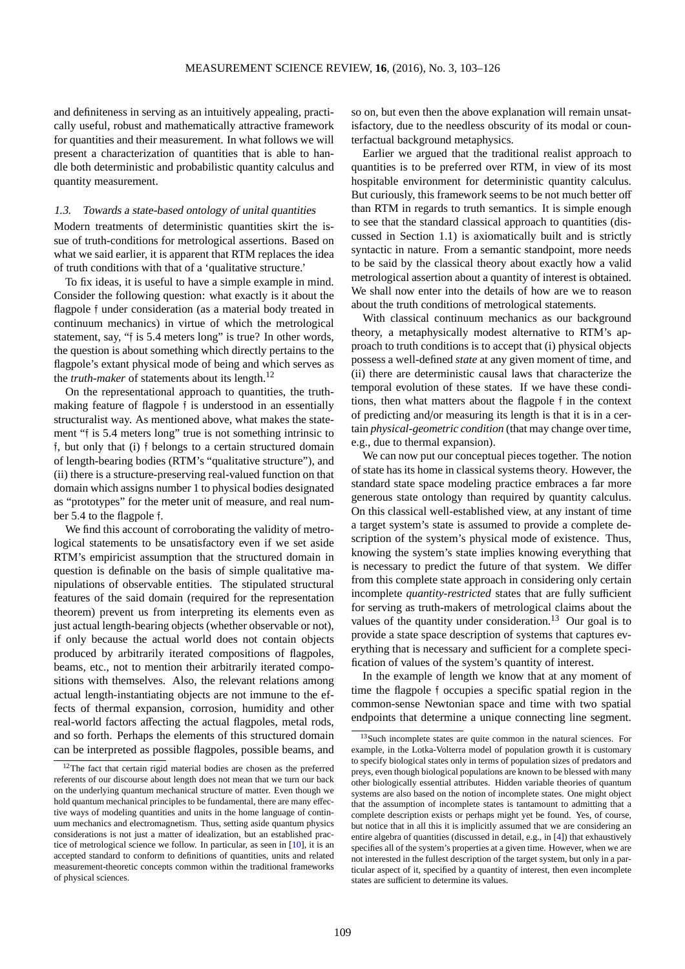and definiteness in serving as an intuitively appealing, practically useful, robust and mathematically attractive framework for quantities and their measurement. In what follows we will present a characterization of quantities that is able to handle both deterministic and probabilistic quantity calculus and quantity measurement.

# 1.3. Towards <sup>a</sup> state-based ontology of unital quantities

Modern treatments of deterministic quantities skirt the issue of truth-conditions for metrological assertions. Based on what we said earlier, it is apparent that RTM replaces the idea of truth conditions with that of a 'qualitative structure.'

To fix ideas, it is useful to have a simple example in mind. Consider the following question: what exactly is it about the flagpole f under consideration (as a material body treated in continuum mechanics) in virtue of which the metrological statement, say, "f is 5.4 meters long" is true? In other words, the question is about something which directly pertains to the flagpole's extant physical mode of being and which serves as the *truth-maker* of statements about its length.[12](#page-6-0)

On the representational approach to quantities, the truthmaking feature of flagpole f is understood in an essentially structuralist way. As mentioned above, what makes the statement "f is 5.4 meters long" true is not something intrinsic to f, but only that (i) f belongs to a certain structured domain of length-bearing bodies (RTM's "qualitative structure"), and (ii) there is a structure-preserving real-valued function on that domain which assigns number 1 to physical bodies designated as "prototypes" for the meter unit of measure, and real number 5.4 to the flagpole f.

We find this account of corroborating the validity of metrological statements to be unsatisfactory even if we set aside RTM's empiricist assumption that the structured domain in question is definable on the basis of simple qualitative manipulations of observable entities. The stipulated structural features of the said domain (required for the representation theorem) prevent us from interpreting its elements even as just actual length-bearing objects (whether observable or not), if only because the actual world does not contain objects produced by arbitrarily iterated compositions of flagpoles, beams, etc., not to mention their arbitrarily iterated compositions with themselves. Also, the relevant relations among actual length-instantiating objects are not immune to the effects of thermal expansion, corrosion, humidity and other real-world factors affecting the actual flagpoles, metal rods, and so forth. Perhaps the elements of this structured domain can be interpreted as possible flagpoles, possible beams, and so on, but even then the above explanation will remain unsatisfactory, due to the needless obscurity of its modal or counterfactual background metaphysics.

Earlier we argued that the traditional realist approach to quantities is to be preferred over RTM, in view of its most hospitable environment for deterministic quantity calculus. But curiously, this framework seems to be not much better off than RTM in regards to truth semantics. It is simple enough to see that the standard classical approach to quantities (discussed in Section 1.1) is axiomatically built and is strictly syntactic in nature. From a semantic standpoint, more needs to be said by the classical theory about exactly how a valid metrological assertion about a quantity of interest is obtained. We shall now enter into the details of how are we to reason about the truth conditions of metrological statements.

With classical continuum mechanics as our background theory, a metaphysically modest alternative to RTM's approach to truth conditions is to accept that (i) physical objects possess a well-defined *state* at any given moment of time, and (ii) there are deterministic causal laws that characterize the temporal evolution of these states. If we have these conditions, then what matters about the flagpole f in the context of predicting and/or measuring its length is that it is in a certain *physical-geometric condition* (that may change over time, e.g., due to thermal expansion).

We can now put our conceptual pieces together. The notion of state has its home in classical systems theory. However, the standard state space modeling practice embraces a far more generous state ontology than required by quantity calculus. On this classical well-established view, at any instant of time a target system's state is assumed to provide a complete description of the system's physical mode of existence. Thus, knowing the system's state implies knowing everything that is necessary to predict the future of that system. We differ from this complete state approach in considering only certain incomplete *quantity-restricted* states that are fully sufficient for serving as truth-makers of metrological claims about the values of the quantity under consideration.<sup>[13](#page-6-1)</sup> Our goal is to provide a state space description of systems that captures everything that is necessary and sufficient for a complete specification of values of the system's quantity of interest.

In the example of length we know that at any moment of time the flagpole f occupies a specific spatial region in the common-sense Newtonian space and time with two spatial endpoints that determine a unique connecting line segment.

<span id="page-6-0"></span> $12$ The fact that certain rigid material bodies are chosen as the preferred referents of our discourse about length does not mean that we turn our back on the underlying quantum mechanical structure of matter. Even though we hold quantum mechanical principles to be fundamental, there are many effective ways of modeling quantities and units in the home language of continuum mechanics and electromagnetism. Thus, setting aside quantum physics considerations is not just a matter of idealization, but an established practice of metrological science we follow. In particular, as seen in [\[10\]](#page-23-10), it is an accepted standard to conform to definitions of quantities, units and related measurement-theoretic concepts common within the traditional frameworks of physical sciences.

<span id="page-6-1"></span><sup>&</sup>lt;sup>13</sup>Such incomplete states are quite common in the natural sciences. For example, in the Lotka-Volterra model of population growth it is customary to specify biological states only in terms of population sizes of predators and preys, even though biological populations are known to be blessed with many other biologically essential attributes. Hidden variable theories of quantum systems are also based on the notion of incomplete states. One might object that the assumption of incomplete states is tantamount to admitting that a complete description exists or perhaps might yet be found. Yes, of course, but notice that in all this it is implicitly assumed that we are considering an entire algebra of quantities (discussed in detail, e.g., in [\[4\]](#page-23-8)) that exhaustively specifies all of the system's properties at a given time. However, when we are not interested in the fullest description of the target system, but only in a particular aspect of it, specified by a quantity of interest, then even incomplete states are sufficient to determine its values.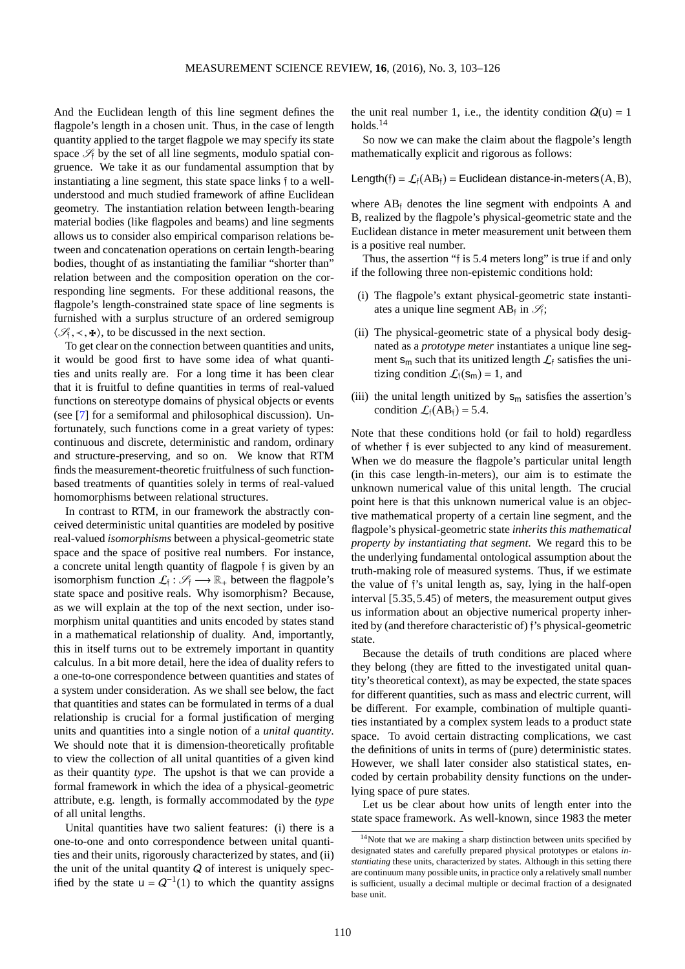And the Euclidean length of this line segment defines the flagpole's length in a chosen unit. Thus, in the case of length quantity applied to the target flagpole we may specify its state space  $\mathcal{S}_f$  by the set of all line segments, modulo spatial congruence. We take it as our fundamental assumption that by instantiating a line segment, this state space links f to a wellunderstood and much studied framework of affine Euclidean geometry. The instantiation relation between length-bearing material bodies (like flagpoles and beams) and line segments allows us to consider also empirical comparison relations between and concatenation operations on certain length-bearing bodies, thought of as instantiating the familiar "shorter than" relation between and the composition operation on the corresponding line segments. For these additional reasons, the flagpole's length-constrained state space of line segments is furnished with a surplus structure of an ordered semigroup  $\langle \mathcal{S}_\dagger, \prec, \mathbf{\pm} \rangle$ , to be discussed in the next section.

To get clear on the connection between quantities and units, it would be good first to have some idea of what quantities and units really are. For a long time it has been clear that it is fruitful to define quantities in terms of real-valued functions on stereotype domains of physical objects or events (see [\[7\]](#page-23-11) for a semiformal and philosophical discussion). Unfortunately, such functions come in a great variety of types: continuous and discrete, deterministic and random, ordinary and structure-preserving, and so on. We know that RTM finds the measurement-theoretic fruitfulness of such functionbased treatments of quantities solely in terms of real-valued homomorphisms between relational structures.

In contrast to RTM, in our framework the abstractly conceived deterministic unital quantities are modeled by positive real-valued *isomorphisms* between a physical-geometric state space and the space of positive real numbers. For instance, a concrete unital length quantity of flagpole f is given by an isomorphism function  $\mathcal{L}_{f}: \mathcal{S}_{f} \longrightarrow \mathbb{R}_{+}$  between the flagpole's state space and positive reals. Why isomorphism? Because, as we will explain at the top of the next section, under isomorphism unital quantities and units encoded by states stand in a mathematical relationship of duality. And, importantly, this in itself turns out to be extremely important in quantity calculus. In a bit more detail, here the idea of duality refers to a one-to-one correspondence between quantities and states of a system under consideration. As we shall see below, the fact that quantities and states can be formulated in terms of a dual relationship is crucial for a formal justification of merging units and quantities into a single notion of a *unital quantity*. We should note that it is dimension-theoretically profitable to view the collection of all unital quantities of a given kind as their quantity *type*. The upshot is that we can provide a formal framework in which the idea of a physical-geometric attribute, e.g. length, is formally accommodated by the *type* of all unital lengths.

Unital quantities have two salient features: (i) there is a one-to-one and onto correspondence between unital quantities and their units, rigorously characterized by states, and (ii) the unit of the unital quantity  $Q$  of interest is uniquely specified by the state  $u = Q^{-1}(1)$  to which the quantity assigns

the unit real number 1, i.e., the identity condition  $Q(u) = 1$ holds. $14$ 

So now we can make the claim about the flagpole's length mathematically explicit and rigorous as follows:

Length(f) =  $\mathcal{L}_{f}(AB_{f})$  = Euclidean distance-in-meters(A, B),

where  $AB_i$  denotes the line segment with endpoints A and B, realized by the flagpole's physical-geometric state and the Euclidean distance in meter measurement unit between them is a positive real number.

Thus, the assertion "f is 5.4 meters long" is true if and only if the following three non-epistemic conditions hold:

- (i) The flagpole's extant physical-geometric state instantiates a unique line segment AB<sub>f</sub> in  $\mathcal{S}_f$ ;
- (ii) The physical-geometric state of a physical body designated as a *prototype meter* instantiates a unique line segment  $s_m$  such that its unitized length  $\mathcal{L}_f$  satisfies the unitizing condition  $\mathcal{L}_{\text{f}}(\mathbf{s}_{\text{m}}) = 1$ , and
- (iii) the unital length unitized by  $s_m$  satisfies the assertion's condition  $\mathcal{L}_{\text{f}}(AB_{\text{f}}) = 5.4$ .

Note that these conditions hold (or fail to hold) regardless of whether f is ever subjected to any kind of measurement. When we do measure the flagpole's particular unital length (in this case length-in-meters), our aim is to estimate the unknown numerical value of this unital length. The crucial point here is that this unknown numerical value is an objective mathematical property of a certain line segment, and the flagpole's physical-geometric state *inherits this mathematical property by instantiating that segment*. We regard this to be the underlying fundamental ontological assumption about the truth-making role of measured systems. Thus, if we estimate the value of f's unital length as, say, lying in the half-open interval [5.35,5.45) of meters, the measurement output gives us information about an objective numerical property inherited by (and therefore characteristic of) f's physical-geometric state.

Because the details of truth conditions are placed where they belong (they are fitted to the investigated unital quantity's theoretical context), as may be expected, the state spaces for different quantities, such as mass and electric current, will be different. For example, combination of multiple quantities instantiated by a complex system leads to a product state space. To avoid certain distracting complications, we cast the definitions of units in terms of (pure) deterministic states. However, we shall later consider also statistical states, encoded by certain probability density functions on the underlying space of pure states.

Let us be clear about how units of length enter into the state space framework. As well-known, since 1983 the meter

<span id="page-7-0"></span><sup>&</sup>lt;sup>14</sup>Note that we are making a sharp distinction between units specified by designated states and carefully prepared physical prototypes or etalons *instantiating* these units, characterized by states. Although in this setting there are continuum many possible units, in practice only a relatively small number is sufficient, usually a decimal multiple or decimal fraction of a designated base unit.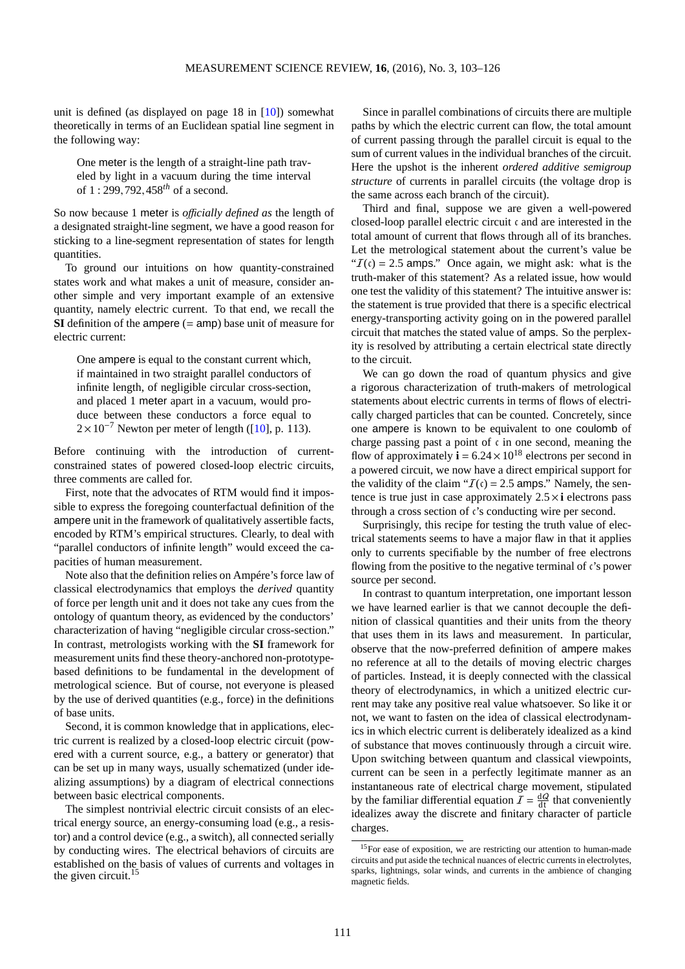unit is defined (as displayed on page 18 in [\[10\]](#page-23-10)) somewhat theoretically in terms of an Euclidean spatial line segment in the following way:

One meter is the length of a straight-line path traveled by light in a vacuum during the time interval of 1 : 299,792,458*th* of a second.

So now because 1 meter is *o*ffi*cially defined as* the length of a designated straight-line segment, we have a good reason for sticking to a line-segment representation of states for length quantities.

To ground our intuitions on how quantity-constrained states work and what makes a unit of measure, consider another simple and very important example of an extensive quantity, namely electric current. To that end, we recall the **SI** definition of the ampere (= amp) base unit of measure for electric current:

One ampere is equal to the constant current which, if maintained in two straight parallel conductors of infinite length, of negligible circular cross-section, and placed 1 meter apart in a vacuum, would produce between these conductors a force equal to  $2 \times 10^{-7}$  Newton per meter of length ([\[10\]](#page-23-10), p. 113).

Before continuing with the introduction of currentconstrained states of powered closed-loop electric circuits, three comments are called for.

First, note that the advocates of RTM would find it impossible to express the foregoing counterfactual definition of the ampere unit in the framework of qualitatively assertible facts, encoded by RTM's empirical structures. Clearly, to deal with "parallel conductors of infinite length" would exceed the capacities of human measurement.

Note also that the definition relies on Ampére's force law of classical electrodynamics that employs the *derived* quantity of force per length unit and it does not take any cues from the ontology of quantum theory, as evidenced by the conductors' characterization of having "negligible circular cross-section." In contrast, metrologists working with the **SI** framework for measurement units find these theory-anchored non-prototypebased definitions to be fundamental in the development of metrological science. But of course, not everyone is pleased by the use of derived quantities (e.g., force) in the definitions of base units.

Second, it is common knowledge that in applications, electric current is realized by a closed-loop electric circuit (powered with a current source, e.g., a battery or generator) that can be set up in many ways, usually schematized (under idealizing assumptions) by a diagram of electrical connections between basic electrical components.

The simplest nontrivial electric circuit consists of an electrical energy source, an energy-consuming load (e.g., a resistor) and a control device (e.g., a switch), all connected serially by conducting wires. The electrical behaviors of circuits are established on the basis of values of currents and voltages in the given circuit. $15$ 

Since in parallel combinations of circuits there are multiple paths by which the electric current can flow, the total amount of current passing through the parallel circuit is equal to the sum of current values in the individual branches of the circuit. Here the upshot is the inherent *ordered additive semigroup structure* of currents in parallel circuits (the voltage drop is the same across each branch of the circuit).

Third and final, suppose we are given a well-powered closed-loop parallel electric circuit c and are interested in the total amount of current that flows through all of its branches. Let the metrological statement about the current's value be " $I(\mathfrak{c}) = 2.5$  amps." Once again, we might ask: what is the truth-maker of this statement? As a related issue, how would one test the validity of this statement? The intuitive answer is: the statement is true provided that there is a specific electrical energy-transporting activity going on in the powered parallel circuit that matches the stated value of amps. So the perplexity is resolved by attributing a certain electrical state directly to the circuit.

We can go down the road of quantum physics and give a rigorous characterization of truth-makers of metrological statements about electric currents in terms of flows of electrically charged particles that can be counted. Concretely, since one ampere is known to be equivalent to one coulomb of charge passing past a point of  $\epsilon$  in one second, meaning the flow of approximately  $\mathbf{i} = 6.24 \times 10^{18}$  electrons per second in a powered circuit, we now have a direct empirical support for the validity of the claim " $\mathcal{I}(c) = 2.5$  amps." Namely, the sentence is true just in case approximately  $2.5 \times i$  electrons pass through a cross section of c's conducting wire per second.

Surprisingly, this recipe for testing the truth value of electrical statements seems to have a major flaw in that it applies only to currents specifiable by the number of free electrons flowing from the positive to the negative terminal of c's power source per second.

In contrast to quantum interpretation, one important lesson we have learned earlier is that we cannot decouple the definition of classical quantities and their units from the theory that uses them in its laws and measurement. In particular, observe that the now-preferred definition of ampere makes no reference at all to the details of moving electric charges of particles. Instead, it is deeply connected with the classical theory of electrodynamics, in which a unitized electric current may take any positive real value whatsoever. So like it or not, we want to fasten on the idea of classical electrodynamics in which electric current is deliberately idealized as a kind of substance that moves continuously through a circuit wire. Upon switching between quantum and classical viewpoints, current can be seen in a perfectly legitimate manner as an instantaneous rate of electrical charge movement, stipulated by the familiar differential equation  $I = \frac{dQ}{dt}$  that conveniently idealizes away the discrete and finitary character of particle charges.

<span id="page-8-0"></span><sup>&</sup>lt;sup>15</sup>For ease of exposition, we are restricting our attention to human-made circuits and put aside the technical nuances of electric currents in electrolytes, sparks, lightnings, solar winds, and currents in the ambience of changing magnetic fields.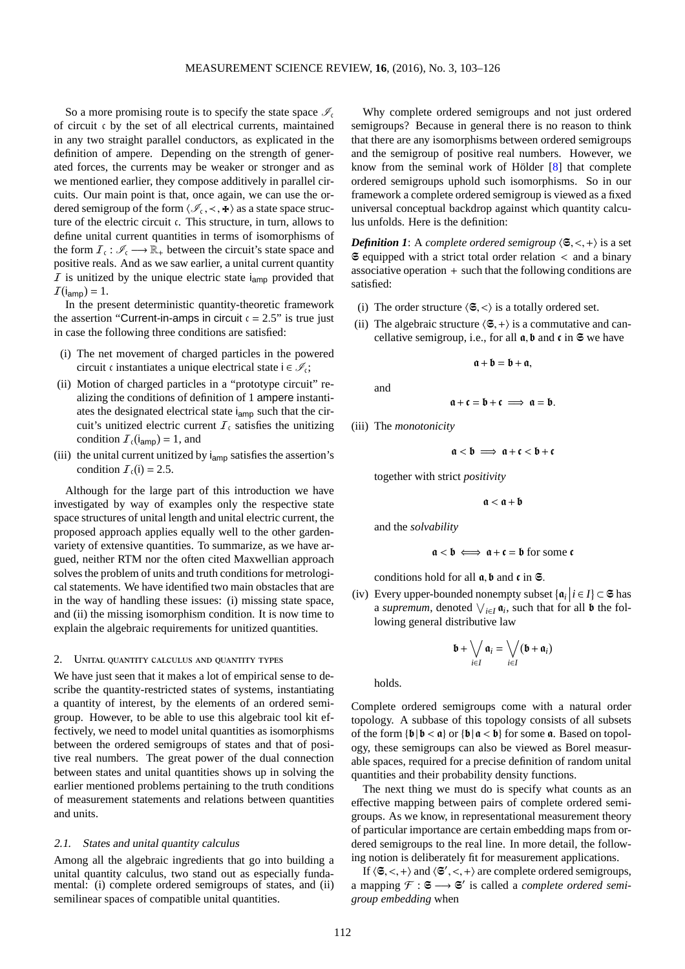So a more promising route is to specify the state space  $\mathcal{I}_c$ of circuit c by the set of all electrical currents, maintained in any two straight parallel conductors, as explicated in the definition of ampere. Depending on the strength of generated forces, the currents may be weaker or stronger and as we mentioned earlier, they compose additively in parallel circuits. Our main point is that, once again, we can use the ordered semigroup of the form  $\langle \mathcal{I}_{\mathfrak{c}}, \prec, \mathbf{+}\rangle$  as a state space structure of the electric circuit c. This structure, in turn, allows to define unital current quantities in terms of isomorphisms of the form  $\mathcal{I}_{\epsilon}: \mathscr{I}_{\epsilon} \longrightarrow \mathbb{R}_{+}$  between the circuit's state space and positive reals. And as we saw earlier, a unital current quantity  $I$  is unitized by the unique electric state  $i_{amp}$  provided that  $I(i_{\text{amp}}) = 1.$ 

In the present deterministic quantity-theoretic framework the assertion "Current-in-amps in circuit  $c = 2.5$ " is true just in case the following three conditions are satisfied:

- (i) The net movement of charged particles in the powered circuit c instantiates a unique electrical state  $i \in \mathcal{I}_c$ ;
- (ii) Motion of charged particles in a "prototype circuit" realizing the conditions of definition of 1 ampere instantiates the designated electrical state iamp such that the circuit's unitized electric current  $I_c$  satisfies the unitizing condition  $\mathcal{I}_{c}(\mathsf{i_{amp}}) = 1$ , and
- (iii) the unital current unitized by  $i_{\text{amp}}$  satisfies the assertion's condition  $\mathcal{I}_c(i) = 2.5$ .

Although for the large part of this introduction we have investigated by way of examples only the respective state space structures of unital length and unital electric current, the proposed approach applies equally well to the other gardenvariety of extensive quantities. To summarize, as we have argued, neither RTM nor the often cited Maxwellian approach solves the problem of units and truth conditions for metrological statements. We have identified two main obstacles that are in the way of handling these issues: (i) missing state space, and (ii) the missing isomorphism condition. It is now time to explain the algebraic requirements for unitized quantities.

## 2. Unital quantity calculus and quantity types

We have just seen that it makes a lot of empirical sense to describe the quantity-restricted states of systems, instantiating a quantity of interest, by the elements of an ordered semigroup. However, to be able to use this algebraic tool kit effectively, we need to model unital quantities as isomorphisms between the ordered semigroups of states and that of positive real numbers. The great power of the dual connection between states and unital quantities shows up in solving the earlier mentioned problems pertaining to the truth conditions of measurement statements and relations between quantities and units.

#### 2.1. States and unital quantity calculus

Among all the algebraic ingredients that go into building a unital quantity calculus, two stand out as especially fundamental: (i) complete ordered semigroups of states, and (ii) semilinear spaces of compatible unital quantities.

Why complete ordered semigroups and not just ordered semigroups? Because in general there is no reason to think that there are any isomorphisms between ordered semigroups and the semigroup of positive real numbers. However, we know from the seminal work of Hölder [\[8\]](#page-23-12) that complete ordered semigroups uphold such isomorphisms. So in our framework a complete ordered semigroup is viewed as a fixed universal conceptual backdrop against which quantity calculus unfolds. Here is the definition:

*Definition 1*: A *complete ordered semigroup*  $\langle \mathfrak{S}, \langle ,+ \rangle$  is a set  $\Im$  equipped with a strict total order relation  $\lt$  and a binary associative operation  $+$  such that the following conditions are satisfied:

- (i) The order structure  $\langle \mathfrak{S}, \langle \rangle$  is a totally ordered set.
- (ii) The algebraic structure  $\langle \mathfrak{S},+\rangle$  is a commutative and cancellative semigroup, i.e., for all  $\mathfrak{a}, \mathfrak{b}$  and  $\mathfrak{c}$  in  $\mathfrak{S}$  we have

and

$$
\mathfrak{a}+\mathfrak{c}=\mathfrak{b}+\mathfrak{c} \implies \mathfrak{a}=\mathfrak{b}.
$$

 $a + b = b + a$ .

(iii) The *monotonicity*

 $a < b \implies a+c < b+c$ 

together with strict *positivity*

$$
\mathfrak{a}<\mathfrak{a}+\mathfrak{b}
$$

and the *solvability*

$$
\mathfrak{a} < \mathfrak{b} \iff \mathfrak{a} + \mathfrak{c} = \mathfrak{b} \text{ for some } \mathfrak{c}
$$

conditions hold for all  $\mathfrak a, \mathfrak b$  and  $\mathfrak c$  in  $\mathfrak S$ .

(iv) Every upper-bounded nonempty subset  $\{\mathfrak{a}_i \mid i \in I\} \subset \mathfrak{S}$  has a *supremum*, denoted  $\bigvee_{i \in I} \mathfrak{a}_i$ , such that for all **b** the following general distributive law

$$
\mathbf{b} + \bigvee_{i \in I} \mathbf{a}_i = \bigvee_{i \in I} (\mathbf{b} + \mathbf{a}_i)
$$

holds.

Complete ordered semigroups come with a natural order topology. A subbase of this topology consists of all subsets of the form  $\{b | b < a\}$  or  $\{b | a < b\}$  for some  $a$ . Based on topology, these semigroups can also be viewed as Borel measurable spaces, required for a precise definition of random unital quantities and their probability density functions.

The next thing we must do is specify what counts as an effective mapping between pairs of complete ordered semigroups. As we know, in representational measurement theory of particular importance are certain embedding maps from ordered semigroups to the real line. In more detail, the following notion is deliberately fit for measurement applications.

If  $\langle \mathfrak{S}, \langle ,+\rangle$  and  $\langle \mathfrak{S}', \langle ,+\rangle$  are complete ordered semigroups, a mapping  $\mathcal{F}: \mathfrak{S} \longrightarrow \mathfrak{S}'$  is called a *complete ordered semigroup embedding* when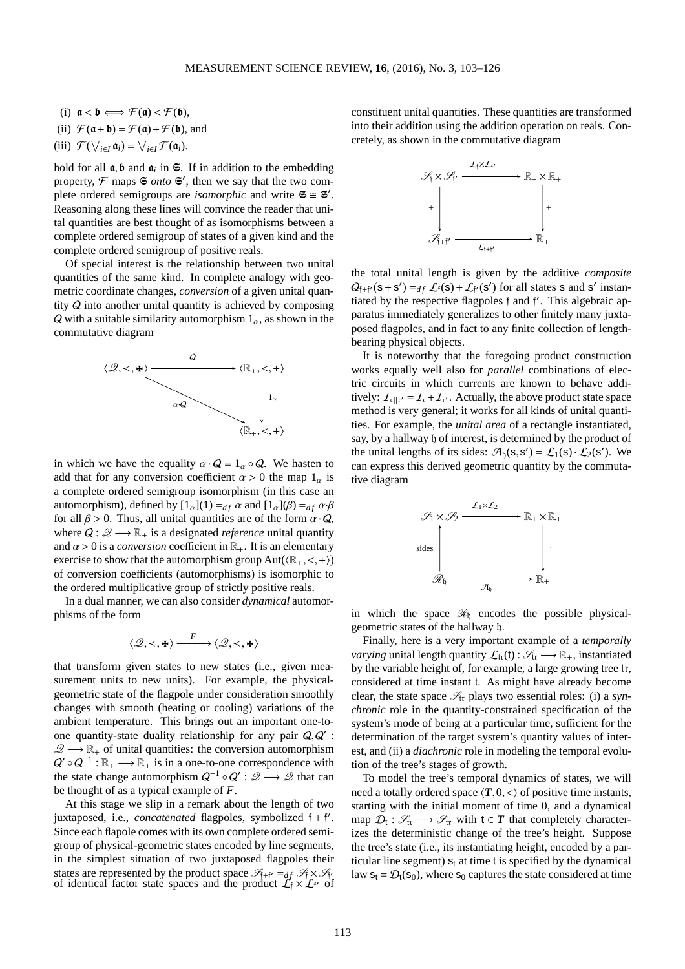(i)  $\mathfrak{a} < \mathfrak{b} \Longleftrightarrow \mathcal{F}(\mathfrak{a}) < \mathcal{F}(\mathfrak{b}),$ 

(ii) 
$$
\mathcal{F}(\mathfrak{a} + \mathfrak{b}) = \mathcal{F}(\mathfrak{a}) + \mathcal{F}(\mathfrak{b})
$$
, and

(iii) 
$$
\mathcal{F}(\bigvee_{i\in I}\mathfrak{a}_i)=\bigvee_{i\in I}\mathcal{F}(\mathfrak{a}_i).
$$

hold for all  $a, b$  and  $a_i$  in  $\mathfrak{S}$ . If in addition to the embedding property,  $\mathcal F$  maps  $\mathfrak S$  *onto*  $\mathfrak S'$ , then we say that the two complete ordered semigroups are *isomorphic* and write  $S \cong S'$ . Reasoning along these lines will convince the reader that unital quantities are best thought of as isomorphisms between a complete ordered semigroup of states of a given kind and the complete ordered semigroup of positive reals.

Of special interest is the relationship between two unital quantities of the same kind. In complete analogy with geometric coordinate changes, *conversion* of a given unital quantity Q into another unital quantity is achieved by composing Q with a suitable similarity automorphism  $1_{\alpha}$ , as shown in the commutative diagram



in which we have the equality  $\alpha \cdot Q = 1_\alpha \circ Q$ . We hasten to add that for any conversion coefficient  $\alpha > 0$  the map  $1_{\alpha}$  is a complete ordered semigroup isomorphism (in this case an automorphism), defined by  $[1_{\alpha}](1) =_{df} \alpha$  and  $[1_{\alpha}](\beta) =_{df} \alpha \cdot \beta$ for all  $\beta > 0$ . Thus, all unital quantities are of the form  $\alpha \cdot Q$ , where  $Q: \mathscr{Q} \longrightarrow \mathbb{R}_+$  is a designated *reference* unital quantity and  $\alpha > 0$  is a *conversion* coefficient in  $\mathbb{R}_+$ . It is an elementary exercise to show that the automorphism group  $Aut((\mathbb{R}_+, \langle , + \rangle))$ of conversion coefficients (automorphisms) is isomorphic to the ordered multiplicative group of strictly positive reals.

In a dual manner, we can also consider *dynamical* automorphisms of the form

$$
\langle \mathcal{Q}, \prec, \mathbf{H} \rangle \xrightarrow{F} \langle \mathcal{Q}, \prec, \mathbf{H} \rangle
$$

that transform given states to new states (i.e., given measurement units to new units). For example, the physicalgeometric state of the flagpole under consideration smoothly changes with smooth (heating or cooling) variations of the ambient temperature. This brings out an important one-toone quantity-state duality relationship for any pair  $Q, Q'$ :  $\mathscr{Q} \longrightarrow \mathbb{R}_+$  of unital quantities: the conversion automorphism  $Q' \circ Q^{-1} : \mathbb{R}_+ \longrightarrow \mathbb{R}_+$  is in a one-to-one correspondence with the state change automorphism  $Q^{-1} \circ Q' : \mathcal{Q} \longrightarrow \mathcal{Q}$  that can be thought of as a typical example of *F*.

At this stage we slip in a remark about the length of two juxtaposed, i.e., *concatenated* flagpoles, symbolized  $\mathfrak{f} + \mathfrak{f}'$ . Since each flapole comes with its own complete ordered semigroup of physical-geometric states encoded by line segments, in the simplest situation of two juxtaposed flagpoles their states are represented by the product space  $\mathcal{S}_{\hat{I}+i'} =_{df} \mathcal{S}_{\hat{I}} \times \mathcal{S}_{\hat{I}'}$  of identical factor state spaces and the product  $\mathcal{L}_{\hat{I}} \times \mathcal{L}_{\hat{I}'}$  of constituent unital quantities. These quantities are transformed into their addition using the addition operation on reals. Concretely, as shown in the commutative diagram



the total unital length is given by the additive *composite*  $Q_{\hat{i}+\hat{i}'}(s+s') =_{df} \mathcal{L}_{\hat{i}}(s) + \mathcal{L}_{\hat{i}'}(s')$  for all states s and s' instantiated by the respective flagpoles f and f ′ . This algebraic apparatus immediately generalizes to other finitely many juxtaposed flagpoles, and in fact to any finite collection of lengthbearing physical objects.

It is noteworthy that the foregoing product construction works equally well also for *parallel* combinations of electric circuits in which currents are known to behave additively:  $\mathcal{I}_{\text{cl}}|_{\mathfrak{c}'} = \mathcal{I}_{\text{c}} + \mathcal{I}_{\text{c'}}$ . Actually, the above product state space method is very general; it works for all kinds of unital quantities. For example, the *unital area* of a rectangle instantiated, say, by a hallway b of interest, is determined by the product of the unital lengths of its sides:  $\mathcal{A}_{\mathfrak{h}}(s, s') = \mathcal{L}_1(s) \cdot \mathcal{L}_2(s')$ . We can express this derived geometric quantity by the commutative diagram



in which the space  $\mathcal{R}_{h}$  encodes the possible physicalgeometric states of the hallway h.

Finally, here is a very important example of a *temporally varying* unital length quantity  $\mathcal{L}_{tr}(t)$  :  $\mathcal{S}_{tr} \longrightarrow \mathbb{R}_+$ , instantiated by the variable height of, for example, a large growing tree tr, considered at time instant t. As might have already become clear, the state space  $\mathcal{S}_{tr}$  plays two essential roles: (i) a *synchronic* role in the quantity-constrained specification of the system's mode of being at a particular time, sufficient for the determination of the target system's quantity values of interest, and (ii) a *diachronic* role in modeling the temporal evolution of the tree's stages of growth.

To model the tree's temporal dynamics of states, we will need a totally ordered space  $\langle T, 0, \langle \rangle$  of positive time instants, starting with the initial moment of time 0, and a dynamical map  $\mathcal{D}_t : \mathcal{S}_{tr} \longrightarrow \mathcal{S}_{tr}$  with  $t \in T$  that completely characterizes the deterministic change of the tree's height. Suppose the tree's state (i.e., its instantiating height, encoded by a particular line segment)  $s_t$  at time t is specified by the dynamical law  $s_t = \mathcal{D}_t(s_0)$ , where  $s_0$  captures the state considered at time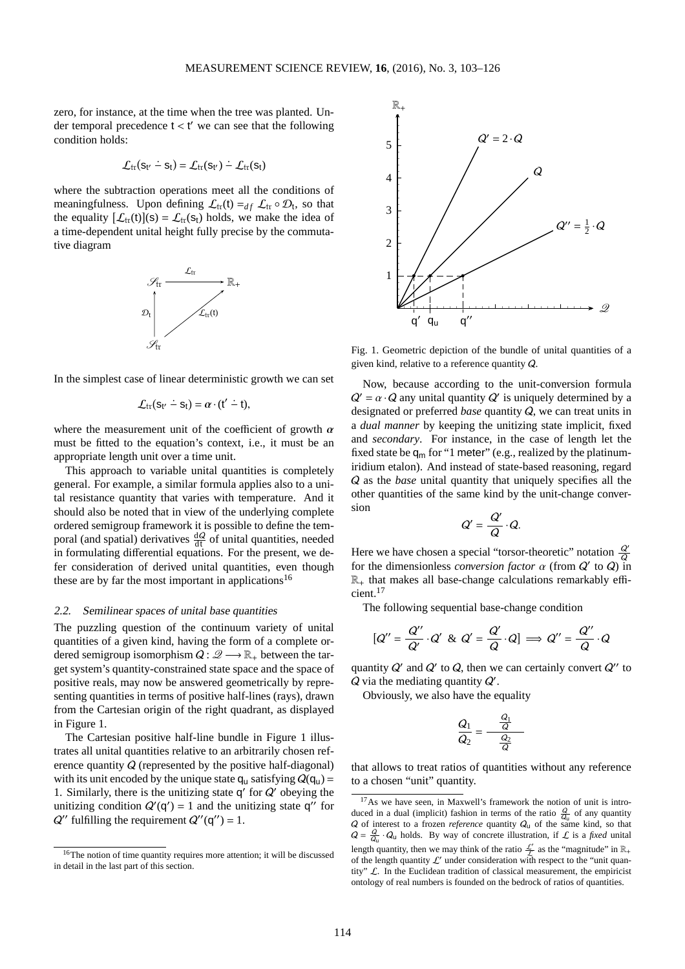zero, for instance, at the time when the tree was planted. Under temporal precedence  $t < t'$  we can see that the following condition holds:

$$
\mathcal{L}_{tr}(s_{t'} \dot{-} s_t) = \mathcal{L}_{tr}(s_{t'}) \dot{-} \mathcal{L}_{tr}(s_t)
$$

where the subtraction operations meet all the conditions of meaningfulness. Upon defining  $\mathcal{L}_{tr}(t) =_{df} \mathcal{L}_{tr} \circ \mathcal{D}_t$ , so that the equality  $[\mathcal{L}_{tr}(t)](s) = \mathcal{L}_{tr}(s_t)$  holds, we make the idea of a time-dependent unital height fully precise by the commutative diagram



In the simplest case of linear deterministic growth we can set

$$
\mathcal{L}_{\text{tr}}(s_{t'} \doteq s_t) = \alpha \cdot (t' \doteq t),
$$

where the measurement unit of the coefficient of growth  $\alpha$ must be fitted to the equation's context, i.e., it must be an appropriate length unit over a time unit.

This approach to variable unital quantities is completely general. For example, a similar formula applies also to a unital resistance quantity that varies with temperature. And it should also be noted that in view of the underlying complete ordered semigroup framework it is possible to define the temporal (and spatial) derivatives  $\frac{dQ}{dt}$  of unital quantities, needed in formulating differential equations. For the present, we defer consideration of derived unital quantities, even though these are by far the most important in applications<sup>[16](#page-11-0)</sup>

#### 2.2. Semilinear spaces of unital base quantities

The puzzling question of the continuum variety of unital quantities of a given kind, having the form of a complete ordered semigroup isomorphism  $Q: \mathscr{Q} \longrightarrow \mathbb{R}_+$  between the target system's quantity-constrained state space and the space of positive reals, may now be answered geometrically by representing quantities in terms of positive half-lines (rays), drawn from the Cartesian origin of the right quadrant, as displayed in Figure 1.

The Cartesian positive half-line bundle in Figure 1 illustrates all unital quantities relative to an arbitrarily chosen reference quantity Q (represented by the positive half-diagonal) with its unit encoded by the unique state  $q_u$  satisfying  $Q(q_u)$  = 1. Similarly, there is the unitizing state  $q'$  for  $Q'$  obeying the unitizing condition  $Q'(q') = 1$  and the unitizing state  $q''$  for  $Q''$  fulfilling the requirement  $Q''(q'') = 1$ .



Fig. 1. Geometric depiction of the bundle of unital quantities of a given kind, relative to a reference quantity Q.

Now, because according to the unit-conversion formula  $Q' = \alpha \cdot Q$  any unital quantity  $Q'$  is uniquely determined by a designated or preferred *base* quantity Q, we can treat units in a *dual manner* by keeping the unitizing state implicit, fixed and *secondary*. For instance, in the case of length let the fixed state be  $q_m$  for "1 meter" (e.g., realized by the platinumiridium etalon). And instead of state-based reasoning, regard Q as the *base* unital quantity that uniquely specifies all the other quantities of the same kind by the unit-change conversion

$$
Q'=\frac{Q'}{Q}\cdot Q.
$$

Here we have chosen a special "torsor-theoretic" notation  $\frac{Q'}{Q}$ for the dimensionless *conversion factor*  $\alpha$  (from  $Q'$  to  $Q$ ) in  $\mathbb{R}_+$  that makes all base-change calculations remarkably efficient.[17](#page-11-1)

The following sequential base-change condition

$$
[Q'' = \frac{Q''}{Q'} \cdot Q' \& Q' = \frac{Q'}{Q} \cdot Q \Rightarrow Q'' = \frac{Q''}{Q} \cdot Q
$$

quantity  $Q'$  and  $Q'$  to  $Q$ , then we can certainly convert  $Q''$  to  $Q$  via the mediating quantity  $Q'$ .

Obviously, we also have the equality

$$
\frac{Q_1}{Q_2} = \frac{\frac{Q_1}{Q}}{\frac{Q_2}{Q}}
$$

that allows to treat ratios of quantities without any reference to a chosen "unit" quantity.

<span id="page-11-0"></span><sup>&</sup>lt;sup>16</sup>The notion of time quantity requires more attention; it will be discussed in detail in the last part of this section.

<span id="page-11-1"></span><sup>&</sup>lt;sup>17</sup>As we have seen, in Maxwell's framework the notion of unit is introduced in a dual (implicit) fashion in terms of the ratio  $\frac{Q}{Q}$  of any quantity  $Q$  of interest to a frozen *reference* quantity  $Q_u$  of the same kind, so that  $Q = \frac{Q}{Q_u} \cdot Q_u$  holds. By way of concrete illustration, if  $\mathcal{L}$  is a *fixed* unital length quantity, then we may think of the ratio  $\frac{\mathcal{L}'}{\mathcal{L}}$  as the "magnitude" in  $\mathbb{R}_+$ of the length quantity  $\mathcal{L}'$  under consideration with respect to the "unit quantity"  $\mathcal{L}$ . In the Euclidean tradition of classical measurement, the empiricist ontology of real numbers is founded on the bedrock of ratios of quantities.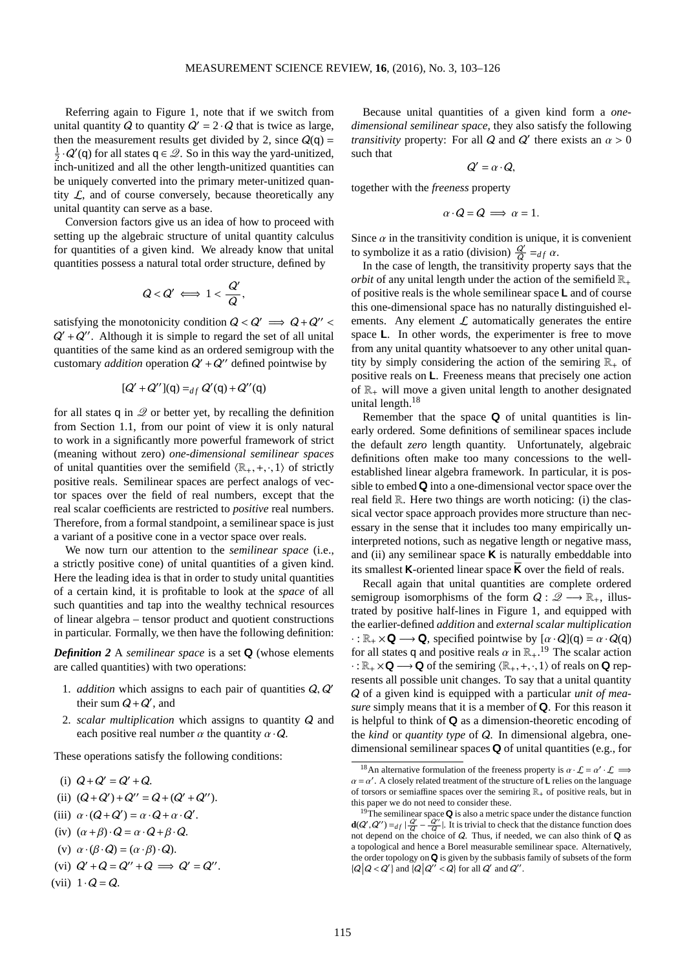Referring again to Figure 1, note that if we switch from unital quantity Q to quantity  $Q' = 2 \cdot Q$  that is twice as large, then the measurement results get divided by 2, since  $Q(q)$  =  $\frac{1}{2} \cdot Q'(\mathsf{q})$  for all states  $\mathsf{q} \in \mathcal{Q}$ . So in this way the yard-unitized, inch-unitized and all the other length-unitized quantities can be uniquely converted into the primary meter-unitized quantity  $\mathcal{L}$ , and of course conversely, because theoretically any unital quantity can serve as a base.

Conversion factors give us an idea of how to proceed with setting up the algebraic structure of unital quantity calculus for quantities of a given kind. We already know that unital quantities possess a natural total order structure, defined by

$$
Q < Q' \iff 1 < \frac{Q'}{Q},
$$

satisfying the monotonicity condition  $Q < Q' \implies Q + Q'' <$  $Q' + Q''$ . Although it is simple to regard the set of all unital quantities of the same kind as an ordered semigroup with the customary *addition* operation  $Q' + Q''$  defined pointwise by

$$
[Q' + Q''](q) =_{df} Q'(q) + Q''(q)
$$

for all states q in  $\mathcal Q$  or better yet, by recalling the definition from Section 1.1, from our point of view it is only natural to work in a significantly more powerful framework of strict (meaning without zero) *one-dimensional semilinear spaces* of unital quantities over the semifield  $\langle \mathbb{R}_+, +, \cdot, 1 \rangle$  of strictly positive reals. Semilinear spaces are perfect analogs of vector spaces over the field of real numbers, except that the real scalar coefficients are restricted to *positive* real numbers. Therefore, from a formal standpoint, a semilinear space is just a variant of a positive cone in a vector space over reals.

We now turn our attention to the *semilinear space* (i.e., a strictly positive cone) of unital quantities of a given kind. Here the leading idea is that in order to study unital quantities of a certain kind, it is profitable to look at the *space* of all such quantities and tap into the wealthy technical resources of linear algebra – tensor product and quotient constructions in particular. Formally, we then have the following definition:

*Definition 2* A *semilinear space* is a set Q (whose elements are called quantities) with two operations:

- 1. *addition* which assigns to each pair of quantities Q, Q' their sum  $Q + Q'$ , and
- 2. *scalar multiplication* which assigns to quantity Q and each positive real number  $\alpha$  the quantity  $\alpha \cdot Q$ .

These operations satisfy the following conditions:

- (i)  $Q + Q' = Q' + Q$ .
- (ii)  $(Q+Q')+Q''=Q+(Q'+Q'').$
- (iii)  $\alpha \cdot (Q + Q') = \alpha \cdot Q + \alpha \cdot Q'$ .
- (iv)  $(\alpha + \beta) \cdot Q = \alpha \cdot Q + \beta \cdot Q$ .
- (v)  $\alpha \cdot (\beta \cdot Q) = (\alpha \cdot \beta) \cdot Q$ .
- (vi)  $Q' + Q = Q'' + Q \implies Q' = Q''.$
- (vii)  $1 \cdot Q = Q$ .

Because unital quantities of a given kind form a *onedimensional semilinear space*, they also satisfy the following *transitivity* property: For all  $Q$  and  $Q'$  there exists an  $\alpha > 0$ such that

 $Q' = \alpha \cdot Q$ 

together with the *freeness* property

$$
\alpha \cdot Q = Q \implies \alpha = 1.
$$

Since  $\alpha$  in the transitivity condition is unique, it is convenient to symbolize it as a ratio (division)  $\frac{Q'}{Q} =_{df} \alpha$ .

In the case of length, the transitivity property says that the *orbit* of any unital length under the action of the semifield  $\mathbb{R}_+$ of positive reals is the whole semilinear space  $\mathsf{L}$  and of course this one-dimensional space has no naturally distinguished elements. Any element  $\mathcal L$  automatically generates the entire space L. In other words, the experimenter is free to move from any unital quantity whatsoever to any other unital quantity by simply considering the action of the semiring  $\mathbb{R}_+$  of positive reals on L. Freeness means that precisely one action of  $\mathbb{R}_+$  will move a given unital length to another designated unital length.<sup>[18](#page-12-0)</sup>

Remember that the space  $Q$  of unital quantities is linearly ordered. Some definitions of semilinear spaces include the default *zero* length quantity. Unfortunately, algebraic definitions often make too many concessions to the wellestablished linear algebra framework. In particular, it is possible to embed  $\bf{Q}$  into a one-dimensional vector space over the real field R. Here two things are worth noticing: (i) the classical vector space approach provides more structure than necessary in the sense that it includes too many empirically uninterpreted notions, such as negative length or negative mass, and (ii) any semilinear space  $\boldsymbol{K}$  is naturally embeddable into its smallest **K**-oriented linear space  $\overline{K}$  over the field of reals.

Recall again that unital quantities are complete ordered semigroup isomorphisms of the form  $Q: \mathscr{Q} \longrightarrow \mathbb{R}_+$ , illustrated by positive half-lines in Figure 1, and equipped with the earlier-defined *addition* and *external scalar multiplication*  $\cdot : \mathbb{R}_+ \times \mathbf{Q} \longrightarrow \mathbf{Q}$ , specified pointwise by  $[\alpha \cdot Q](q) = \alpha \cdot Q(q)$ for all states q and positive reals  $\alpha$  in  $\mathbb{R}_+$ .<sup>[19](#page-12-1)</sup> The scalar action  $\cdot : \mathbb{R}_+ \times \mathbb{Q} \longrightarrow \mathbb{Q}$  of the semiring  $\langle \mathbb{R}_+, +, \cdot, 1 \rangle$  of reals on  $\mathbb{Q}$  represents all possible unit changes. To say that a unital quantity Q of a given kind is equipped with a particular *unit of measure* simply means that it is a member of Q. For this reason it is helpful to think of Q as a dimension-theoretic encoding of the *kind* or *quantity type* of Q. In dimensional algebra, onedimensional semilinear spaces  $\bf{Q}$  of unital quantities (e.g., for

<span id="page-12-0"></span><sup>&</sup>lt;sup>18</sup>An alternative formulation of the freeness property is  $\alpha \cdot \mathcal{L} = \alpha' \cdot \mathcal{L} \implies$  $\alpha = \alpha'$ . A closely related treatment of the structure of **L** relies on the language of torsors or semiaffine spaces over the semiring  $\mathbb{R}_+$  of positive reals, but in this paper we do not need to consider these.

<span id="page-12-1"></span><sup>&</sup>lt;sup>19</sup>The semilinear space  $\bf{Q}$  is also a metric space under the distance function  $d(Q', Q'') =_{df} |\frac{Q'}{Q} - \frac{Q''}{Q}|$ . It is trivial to check that the distance function does not depend on the choice of  $Q$ . Thus, if needed, we can also think of  $Q$  as a topological and hence a Borel measurable semilinear space. Alternatively, the order topology on Q is given by the subbasis family of subsets of the form  $|Q|Q < Q'$ } and  $|Q|Q'' < Q$ } for all Q' and Q''.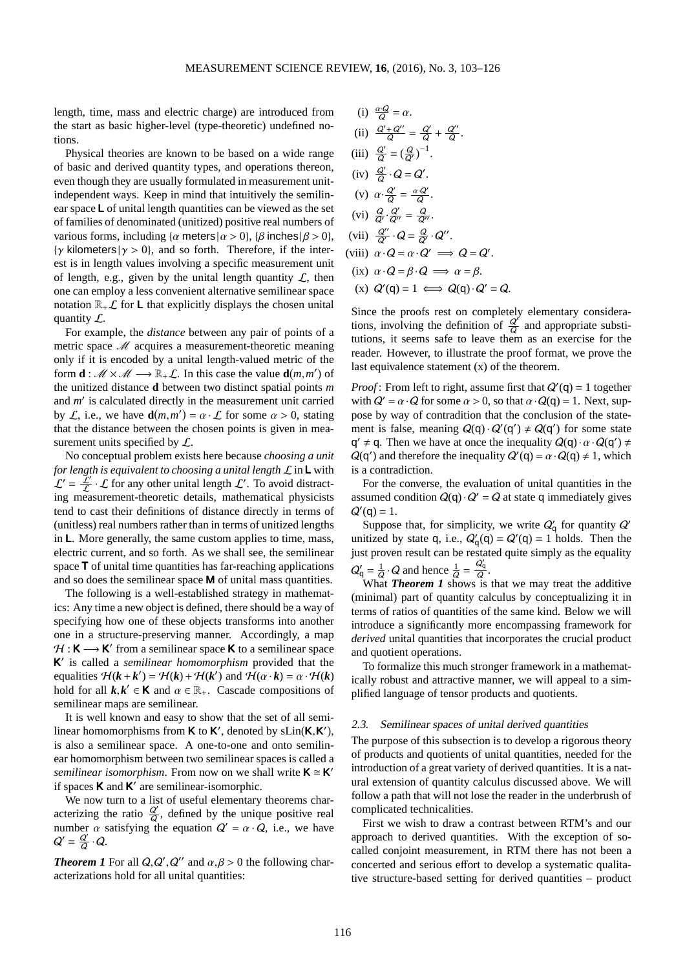length, time, mass and electric charge) are introduced from the start as basic higher-level (type-theoretic) undefined notions.

Physical theories are known to be based on a wide range of basic and derived quantity types, and operations thereon, even though they are usually formulated in measurement unitindependent ways. Keep in mind that intuitively the semilinear space L of unital length quantities can be viewed as the set of families of denominated (unitized) positive real numbers of various forms, including  $\{\alpha \text{ meters} | \alpha > 0\}$ ,  $\{\beta \text{ inches} | \beta > 0\}$ ,  $\{\gamma \text{ kilometers} | \gamma > 0\}$ , and so forth. Therefore, if the interest is in length values involving a specific measurement unit of length, e.g., given by the unital length quantity  $\mathcal{L}$ , then one can employ a less convenient alternative semilinear space notation  $\mathbb{R}_+ \mathcal{L}$  for **L** that explicitly displays the chosen unital quantity  $\mathcal{L}$ .

For example, the *distance* between any pair of points of a metric space M acquires a measurement-theoretic meaning only if it is encoded by a unital length-valued metric of the form **d** :  $M \times M \longrightarrow \mathbb{R}_+ L$ . In this case the value **d**(*m*,*m'*) of the unitized distance **d** between two distinct spatial points *m* and *m* ′ is calculated directly in the measurement unit carried by *L*, i.e., we have  $\mathbf{d}(m, m') = \alpha \cdot \mathcal{L}$  for some  $\alpha > 0$ , stating that the distance between the chosen points is given in measurement units specified by  $\mathcal{L}$ .

No conceptual problem exists here because *choosing a unit for length is equivalent to choosing a unital length* L in L with  $\mathcal{L}' = \frac{\mathcal{L}'}{\mathcal{L}} \cdot \mathcal{L}$  for any other unital length  $\mathcal{L}'$ . To avoid distracting measurement-theoretic details, mathematical physicists tend to cast their definitions of distance directly in terms of (unitless) real numbers rather than in terms of unitized lengths in L. More generally, the same custom applies to time, mass, electric current, and so forth. As we shall see, the semilinear space T of unital time quantities has far-reaching applications and so does the semilinear space M of unital mass quantities.

The following is a well-established strategy in mathematics: Any time a new object is defined, there should be a way of specifying how one of these objects transforms into another one in a structure-preserving manner. Accordingly, a map  $H : K \longrightarrow K'$  from a semilinear space K to a semilinear space K ′ is called a *semilinear homomorphism* provided that the equalities  $\mathcal{H}(k + k') = \mathcal{H}(k) + \mathcal{H}(k')$  and  $\mathcal{H}(\alpha \cdot k) = \alpha \cdot \mathcal{H}(k)$ hold for all  $k, k' \in K$  and  $\alpha \in \mathbb{R}_+$ . Cascade compositions of semilinear maps are semilinear.

It is well known and easy to show that the set of all semilinear homomorphisms from  $K$  to  $K'$ , denoted by sLin( $K$ ,  $K'$ ), is also a semilinear space. A one-to-one and onto semilinear homomorphism between two semilinear spaces is called a *semilinear isomorphism.* From now on we shall write  $K \cong K'$ if spaces **K** and **K'** are semilinear-isomorphic.

We now turn to a list of useful elementary theorems characterizing the ratio  $\frac{Q'}{Q}$ , defined by the unique positive real number  $\alpha$  satisfying the equation  $Q' = \alpha \cdot Q$ , i.e., we have  $Q'=\frac{Q'}{Q}$  $rac{d}{Q} \cdot Q$ .

*Theorem 1* For all  $Q, Q', Q''$  and  $\alpha, \beta > 0$  the following characterizations hold for all unital quantities:

(i) 
$$
\frac{\alpha Q}{Q} = \alpha
$$
.  
\n(ii)  $\frac{Q' + Q''}{Q} = \frac{Q'}{Q} + \frac{Q''}{Q}$ .  
\n(iii)  $\frac{Q'}{Q} = (\frac{Q}{Q'})^{-1}$ .  
\n(iv)  $\frac{Q'}{Q} \cdot Q = Q'$ .  
\n(v)  $\alpha \cdot \frac{Q'}{Q} = \frac{\alpha Q'}{Q}$ .  
\n(vi)  $\frac{Q'}{Q'} \cdot \frac{Q'}{Q''} = \frac{Q}{Q''}$ .  
\n(vii)  $\frac{Q''}{Q'} \cdot Q = \frac{Q}{Q'} \cdot Q''$ .  
\n(viii)  $\alpha \cdot Q = \alpha \cdot Q' \implies Q = Q$   
\n(ix)  $\alpha \cdot Q = \beta \cdot Q \implies \alpha = \beta$ .

(x)  $Q'(q) = 1 \iff Q(q) \cdot Q' = Q$ .

Since the proofs rest on completely elementary considerations, involving the definition of  $\frac{Q'}{Q}$  and appropriate substitutions, it seems safe to leave them as an exercise for the reader. However, to illustrate the proof format, we prove the last equivalence statement (x) of the theorem.

′ .

*Proof*: From left to right, assume first that  $Q'(q) = 1$  together with  $Q' = \alpha \cdot Q$  for some  $\alpha > 0$ , so that  $\alpha \cdot Q(q) = 1$ . Next, suppose by way of contradition that the conclusion of the statement is false, meaning  $Q(q) \cdot Q'(q') \neq Q(q')$  for some state q'  $\neq$  q. Then we have at once the inequality  $Q(q) \cdot \alpha \cdot Q(q') \neq$  $Q(q')$  and therefore the inequality  $Q'(q) = \alpha \cdot Q(q) \neq 1$ , which is a contradiction.

For the converse, the evaluation of unital quantities in the assumed condition  $Q(q) \cdot Q' = Q$  at state q immediately gives  $Q'(q) = 1.$ 

Suppose that, for simplicity, we write  $Q'_{q}$  for quantity  $Q'$ unitized by state q, i.e.,  $Q'_q(q) = Q'(q) = 1$  holds. Then the just proven result can be restated quite simply as the equality  $Q^{\prime}_{\textsf{q}}=\frac{1}{Q}$  $\frac{1}{Q} \cdot Q$  and hence  $\frac{1}{Q} = \frac{Q_q'}{Q}$  $\frac{q}{Q}$ .

What *Theorem 1* shows is that we may treat the additive (minimal) part of quantity calculus by conceptualizing it in terms of ratios of quantities of the same kind. Below we will introduce a significantly more encompassing framework for *derived* unital quantities that incorporates the crucial product and quotient operations.

To formalize this much stronger framework in a mathematically robust and attractive manner, we will appeal to a simplified language of tensor products and quotients.

## 2.3. Semilinear spaces of unital derived quantities

The purpose of this subsection is to develop a rigorous theory of products and quotients of unital quantities, needed for the introduction of a great variety of derived quantities. It is a natural extension of quantity calculus discussed above. We will follow a path that will not lose the reader in the underbrush of complicated technicalities.

First we wish to draw a contrast between RTM's and our approach to derived quantities. With the exception of socalled conjoint measurement, in RTM there has not been a concerted and serious effort to develop a systematic qualitative structure-based setting for derived quantities – product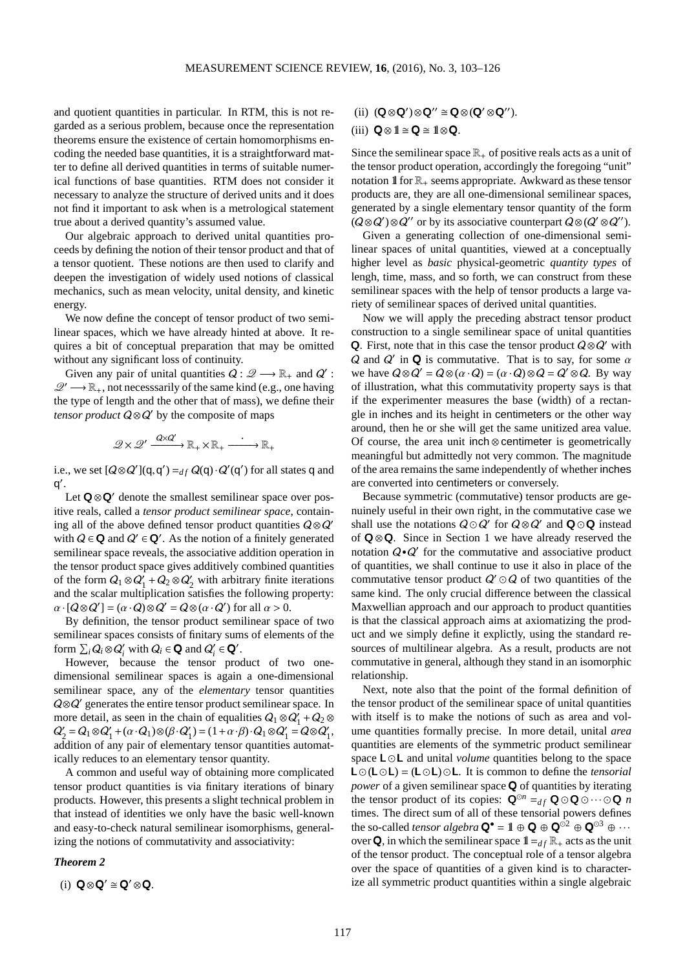and quotient quantities in particular. In RTM, this is not regarded as a serious problem, because once the representation theorems ensure the existence of certain homomorphisms encoding the needed base quantities, it is a straightforward matter to define all derived quantities in terms of suitable numerical functions of base quantities. RTM does not consider it necessary to analyze the structure of derived units and it does not find it important to ask when is a metrological statement true about a derived quantity's assumed value.

Our algebraic approach to derived unital quantities proceeds by defining the notion of their tensor product and that of a tensor quotient. These notions are then used to clarify and deepen the investigation of widely used notions of classical mechanics, such as mean velocity, unital density, and kinetic energy.

We now define the concept of tensor product of two semilinear spaces, which we have already hinted at above. It requires a bit of conceptual preparation that may be omitted without any significant loss of continuity.

Given any pair of unital quantities  $Q: \mathscr{Q} \longrightarrow \mathbb{R}_+$  and  $Q'$ :  $\mathscr{Q}' \longrightarrow \mathbb{R}_+$ , not necesssarily of the same kind (e.g., one having the type of length and the other that of mass), we define their *tensor product*  $Q \otimes Q'$  by the composite of maps

$$
\mathscr{Q}\times \mathscr{Q}' \xrightarrow{\mathsf{Q}\times \mathsf{Q}'} \mathbb{R}_+ \times \mathbb{R}_+ \xrightarrow{\cdot} \mathbb{R}_+
$$

i.e., we set  $[Q \otimes Q'](q,q') =_{df} Q(q) \cdot Q'(q')$  for all states q and q ′ .

Let  $\mathbf{Q} \otimes \mathbf{Q}'$  denote the smallest semilinear space over positive reals, called a *tensor product semilinear space*, containing all of the above defined tensor product quantities  $Q \otimes Q'$ with  $Q \in \mathbf{Q}$  and  $Q' \in \mathbf{Q}'$ . As the notion of a finitely generated semilinear space reveals, the associative addition operation in the tensor product space gives additively combined quantities of the form  $Q_1 \otimes Q_1' + Q_2 \otimes Q_2'$  with arbitrary finite iterations and the scalar multiplication satisfies the following property:  $\alpha \cdot [Q \otimes Q'] = (\alpha \cdot Q) \otimes Q' = Q \otimes (\alpha \cdot Q')$  for all  $\alpha > 0$ .

By definition, the tensor product semilinear space of two semilinear spaces consists of finitary sums of elements of the form  $\sum_i Q_i \otimes Q'_i$  with  $Q_i \in \mathbf{Q}$  and  $Q'_i \in \mathbf{Q}'$ .

However, because the tensor product of two onedimensional semilinear spaces is again a one-dimensional semilinear space, any of the *elementary* tensor quantities Q⊗Q' generates the entire tensor product semilinear space. In more detail, as seen in the chain of equalities  $Q_1 \otimes Q'_1 + Q_2 \otimes$  $Q'_2 = Q_1 \otimes Q'_1 + (\alpha \cdot Q_1) \otimes (\beta \cdot Q'_1) = (1 + \alpha \cdot \beta) \cdot Q_1 \otimes Q'_1 = Q \otimes Q'_1,$ addition of any pair of elementary tensor quantities automatically reduces to an elementary tensor quantity.

A common and useful way of obtaining more complicated tensor product quantities is via finitary iterations of binary products. However, this presents a slight technical problem in that instead of identities we only have the basic well-known and easy-to-check natural semilinear isomorphisms, generalizing the notions of commutativity and associativity:

# *Theorem 2*

(i) 
$$
Q \otimes Q' \cong Q' \otimes Q
$$
.

# (ii)  $(\mathbf{Q} \otimes \mathbf{Q}') \otimes \mathbf{Q}'' \cong \mathbf{Q} \otimes (\mathbf{Q}' \otimes \mathbf{Q}'')$ .

# (iii)  $\mathbf{Q} \otimes \mathbb{1} \cong \mathbf{Q} \cong \mathbb{1} \otimes \mathbf{Q}$ .

Since the semilinear space  $\mathbb{R}_+$  of positive reals acts as a unit of the tensor product operation, accordingly the foregoing "unit" notation  $\mathbb{I}$  for  $\mathbb{R}_+$  seems appropriate. Awkward as these tensor products are, they are all one-dimensional semilinear spaces, generated by a single elementary tensor quantity of the form  $(Q \otimes Q') \otimes Q''$  or by its associative counterpart  $Q \otimes (Q' \otimes Q'')$ .

Given a generating collection of one-dimensional semilinear spaces of unital quantities, viewed at a conceptually higher level as *basic* physical-geometric *quantity types* of lengh, time, mass, and so forth, we can construct from these semilinear spaces with the help of tensor products a large variety of semilinear spaces of derived unital quantities.

Now we will apply the preceding abstract tensor product construction to a single semilinear space of unital quantities Q. First, note that in this case the tensor product  $Q \otimes Q'$  with Q and  $Q'$  in Q is commutative. That is to say, for some  $\alpha$ we have  $Q \otimes Q' = Q \otimes (\alpha \cdot Q) = (\alpha \cdot Q) \otimes Q = Q' \otimes Q$ . By way of illustration, what this commutativity property says is that if the experimenter measures the base (width) of a rectangle in inches and its height in centimeters or the other way around, then he or she will get the same unitized area value. Of course, the area unit inch ⊗ centimeter is geometrically meaningful but admittedly not very common. The magnitude of the area remains the same independently of whether inches are converted into centimeters or conversely.

Because symmetric (commutative) tensor products are genuinely useful in their own right, in the commutative case we shall use the notations  $Q \odot Q'$  for  $Q \otimes Q'$  and  $Q \odot Q$  instead of Q ⊗Q. Since in Section 1 we have already reserved the notation  $Q \cdot Q'$  for the commutative and associative product of quantities, we shall continue to use it also in place of the commutative tensor product  $Q' \odot Q$  of two quantities of the same kind. The only crucial difference between the classical Maxwellian approach and our approach to product quantities is that the classical approach aims at axiomatizing the product and we simply define it explictly, using the standard resources of multilinear algebra. As a result, products are not commutative in general, although they stand in an isomorphic relationship.

Next, note also that the point of the formal definition of the tensor product of the semilinear space of unital quantities with itself is to make the notions of such as area and volume quantities formally precise. In more detail, unital *area* quantities are elements of the symmetric product semilinear space **L**⊙**L** and unital *volume* quantities belong to the space L  $\odot$  (L  $\odot$  **L**) = (**L** $\odot$ **L**)  $\odot$  **L**. It is common to define the *tensorial power* of a given semilinear space **Q** of quantities by iterating the tensor product of its copies:  $\mathbf{Q}^{\odot n} =_{df} \mathbf{Q} \odot \mathbf{Q} \odot \cdots \odot \mathbf{Q}$  *n* times. The direct sum of all of these tensorial powers defines the so-called *tensor algebra*  $\mathbf{Q}^{\bullet} = \mathbb{1} \oplus \mathbf{Q} \oplus \mathbf{Q}^{\odot 2} \oplus \mathbf{Q}^{\odot 3} \oplus \cdots$ over **Q**, in which the semilinear space  $1 =_{df} \mathbb{R}_+$  acts as the unit of the tensor product. The conceptual role of a tensor algebra over the space of quantities of a given kind is to characterize all symmetric product quantities within a single algebraic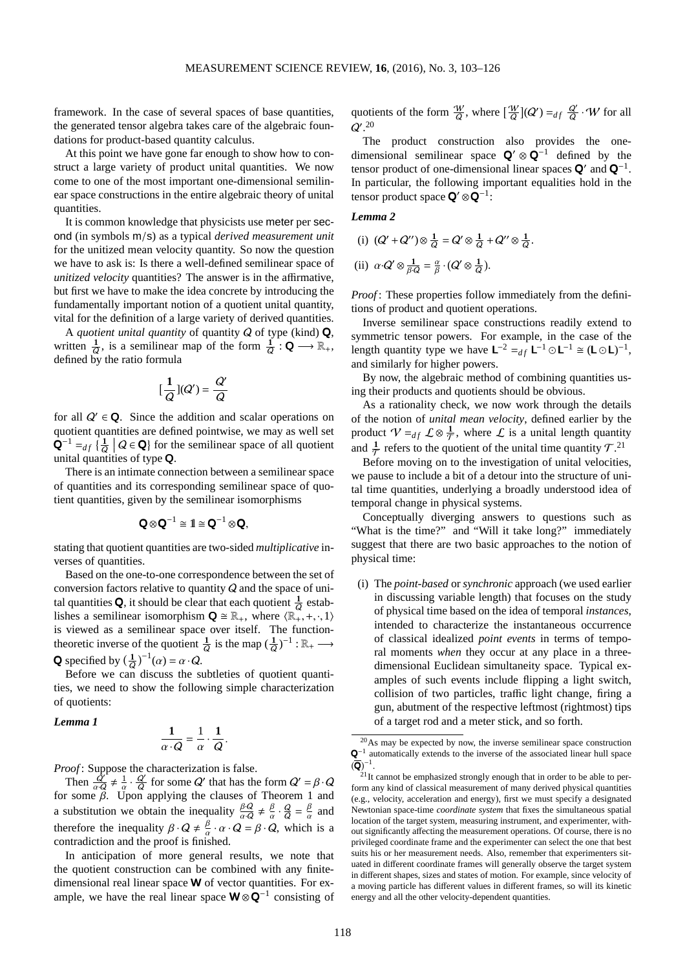framework. In the case of several spaces of base quantities, the generated tensor algebra takes care of the algebraic foundations for product-based quantity calculus.

At this point we have gone far enough to show how to construct a large variety of product unital quantities. We now come to one of the most important one-dimensional semilinear space constructions in the entire algebraic theory of unital quantities.

It is common knowledge that physicists use meter per second (in symbols m/s) as a typical *derived measurement unit* for the unitized mean velocity quantity. So now the question we have to ask is: Is there a well-defined semilinear space of *unitized velocity* quantities? The answer is in the affirmative, but first we have to make the idea concrete by introducing the fundamentally important notion of a quotient unital quantity, vital for the definition of a large variety of derived quantities.

A *quotient unital quantity* of quantity Q of type (kind) Q, written  $\frac{1}{Q}$ , is a semilinear map of the form  $\frac{1}{Q}$  : **Q**  $\longrightarrow$   $\mathbb{R}_+$ , Q defined by the ratio formula

$$
\left[\frac{1}{Q}\right](Q') = \frac{Q'}{Q}
$$

for all  $Q' \in \mathbf{Q}$ . Since the addition and scalar operations on quotient quantities are defined pointwise, we may as well set  $\mathbf{Q}^{-1} =_{df} \left\{ \frac{1}{Q} \middle| Q \in \mathbf{Q} \right\}$  for the semilinear space of all quotient unital quantities of type  $\mathbf Q$ .

There is an intimate connection between a semilinear space of quantities and its corresponding semilinear space of quotient quantities, given by the semilinear isomorphisms

$$
\mathbf{Q}\otimes \mathbf{Q}^{-1}\cong \mathbf{I}\cong \mathbf{Q}^{-1}\otimes \mathbf{Q},
$$

stating that quotient quantities are two-sided *multiplicative* inverses of quantities.

Based on the one-to-one correspondence between the set of conversion factors relative to quantity Q and the space of unital quantities **Q**, it should be clear that each quotient  $\frac{1}{0}$  establishes a semilinear isomorphism  $\mathbf{Q} \cong \mathbb{R}_+$ , where  $\langle \mathbb{R}_+, +, \cdot, 1 \rangle$ is viewed as a semilinear space over itself. The functiontheoretic inverse of the quotient  $\frac{1}{Q}$  is the map  $(\frac{1}{Q})^{-1} : \mathbb{R}_+ \longrightarrow$ **Q** specified by  $\left(\frac{1}{Q}\right)^{-1}(\alpha) = \alpha \cdot Q$ .

Before we can discuss the subtleties of quotient quantities, we need to show the following simple characterization of quotients:

#### *Lemma 1*

$$
\frac{1}{\alpha \cdot Q} = \frac{1}{\alpha} \cdot \frac{1}{Q}.
$$

*Proof* : Suppose the characterization is false.

Then  $\frac{Q'}{a\cdot Q} \neq \frac{1}{\alpha} \cdot \frac{Q'}{Q}$  $\frac{Q'}{Q}$  for some Q' that has the form  $Q' = \beta \cdot Q$ for some  $\beta$ . Upon applying the clauses of Theorem 1 and a substitution we obtain the inequality  $\frac{\beta Q}{\alpha Q} \neq \frac{\beta Q}{\alpha}$  $\frac{\beta}{\alpha} \cdot \frac{Q}{Q} = \frac{\beta}{\alpha}$  $\frac{\rho}{\alpha}$  and therefore the inequality  $\beta \cdot Q \neq \frac{\beta}{\alpha}$  $\frac{\beta}{\alpha} \cdot \alpha \cdot \mathbf{Q} = \beta \cdot \mathbf{Q}$ , which is a contradiction and the proof is finished.

In anticipation of more general results, we note that the quotient construction can be combined with any finitedimensional real linear space W of vector quantities. For example, we have the real linear space  $W \otimes Q^{-1}$  consisting of quotients of the form  $\frac{W}{Q}$ , where  $\left[\frac{W}{Q}\right](Q') =_{df} \frac{Q'}{Q}$  $rac{Q}{Q} \cdot W$  for all  $Q^{\prime}$ .<sup>[20](#page-15-0)</sup>

The product construction also provides the onedimensional semilinear space  $\mathbf{Q}' \otimes \mathbf{Q}^{-1}$  defined by the tensor product of one-dimensional linear spaces  $Q'$  and  $Q^{-1}$ . In particular, the following important equalities hold in the tensor product space  $\mathbf{Q}' \otimes \mathbf{Q}^{-1}$ :

# *Lemma 2*

(i)  $(Q' + Q'') \otimes \frac{1}{Q}$  $\frac{1}{Q} = Q' \otimes \frac{1}{Q}$  $\frac{1}{Q} + Q'' \otimes \frac{1}{Q}$  $\frac{1}{Q}$ .

(ii) 
$$
\alpha \cdot Q' \otimes \frac{1}{\beta \cdot Q} = \frac{\alpha}{\beta} \cdot (Q' \otimes \frac{1}{Q}).
$$

*Proof* : These properties follow immediately from the definitions of product and quotient operations.

Inverse semilinear space constructions readily extend to symmetric tensor powers. For example, in the case of the length quantity type we have  $\mathsf{L}^{-2} =_{df} \mathsf{L}^{-1} \odot \mathsf{L}^{-1} \cong (\mathsf{L} \odot \mathsf{L})^{-1}$ , and similarly for higher powers.

By now, the algebraic method of combining quantities using their products and quotients should be obvious.

As a rationality check, we now work through the details of the notion of *unital mean velocity*, defined earlier by the product  $V =_{df} \mathcal{L} \otimes \frac{1}{\mathcal{T}}$ , where  $\mathcal{L}$  is a unital length quantity and  $\frac{1}{T}$  refers to the quotient of the unital time quantity  $T$ .<sup>[21](#page-15-1)</sup>

 $\frac{1}{2}$  Before moving on to the investigation of unital velocities, we pause to include a bit of a detour into the structure of unital time quantities, underlying a broadly understood idea of temporal change in physical systems.

Conceptually diverging answers to questions such as "What is the time?" and "Will it take long?" immediately suggest that there are two basic approaches to the notion of physical time:

(i) The *point-based* or *synchronic* approach (we used earlier in discussing variable length) that focuses on the study of physical time based on the idea of temporal *instances*, intended to characterize the instantaneous occurrence of classical idealized *point events* in terms of temporal moments *when* they occur at any place in a threedimensional Euclidean simultaneity space. Typical examples of such events include flipping a light switch, collision of two particles, traffic light change, firing a gun, abutment of the respective leftmost (rightmost) tips of a target rod and a meter stick, and so forth.

<span id="page-15-0"></span><sup>20</sup>As may be expected by now, the inverse semilinear space construction  $\mathbf{Q}^{-1}$  automatically extends to the inverse of the associated linear hull space  $(\overline{\mathbf{Q}})^{-1}$ .

<span id="page-15-1"></span> $2<sup>21</sup>$ It cannot be emphasized strongly enough that in order to be able to perform any kind of classical measurement of many derived physical quantities (e.g., velocity, acceleration and energy), first we must specify a designated Newtonian space-time *coordinate system* that fixes the simultaneous spatial location of the target system, measuring instrument, and experimenter, without significantly affecting the measurement operations. Of course, there is no privileged coordinate frame and the experimenter can select the one that best suits his or her measurement needs. Also, remember that experimenters situated in different coordinate frames will generally observe the target system in different shapes, sizes and states of motion. For example, since velocity of a moving particle has different values in different frames, so will its kinetic energy and all the other velocity-dependent quantities.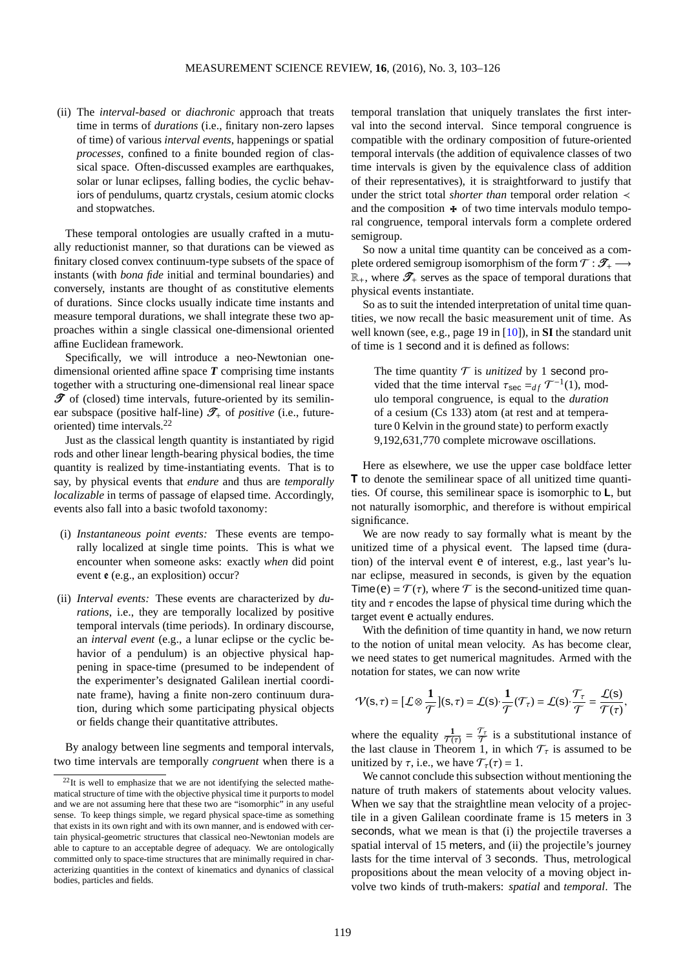(ii) The *interval-based* or *diachronic* approach that treats time in terms of *durations* (i.e., finitary non-zero lapses of time) of various *interval events*, happenings or spatial *processes*, confined to a finite bounded region of classical space. Often-discussed examples are earthquakes, solar or lunar eclipses, falling bodies, the cyclic behaviors of pendulums, quartz crystals, cesium atomic clocks and stopwatches.

These temporal ontologies are usually crafted in a mutually reductionist manner, so that durations can be viewed as finitary closed convex continuum-type subsets of the space of instants (with *bona fide* initial and terminal boundaries) and conversely, instants are thought of as constitutive elements of durations. Since clocks usually indicate time instants and measure temporal durations, we shall integrate these two approaches within a single classical one-dimensional oriented affine Euclidean framework.

Specifically, we will introduce a neo-Newtonian onedimensional oriented affine space *T* comprising time instants together with a structuring one-dimensional real linear space  $\mathscr T$  of (closed) time intervals, future-oriented by its semilinear subspace (positive half-line)  $\mathscr{T}_+$  of *positive* (i.e., futureoriented) time intervals. $^{22}$  $^{22}$  $^{22}$ 

Just as the classical length quantity is instantiated by rigid rods and other linear length-bearing physical bodies, the time quantity is realized by time-instantiating events. That is to say, by physical events that *endure* and thus are *temporally localizable* in terms of passage of elapsed time. Accordingly, events also fall into a basic twofold taxonomy:

- (i) *Instantaneous point events:* These events are temporally localized at single time points. This is what we encounter when someone asks: exactly *when* did point event e (e.g., an explosition) occur?
- (ii) *Interval events:* These events are characterized by *durations*, i.e., they are temporally localized by positive temporal intervals (time periods). In ordinary discourse, an *interval event* (e.g., a lunar eclipse or the cyclic behavior of a pendulum) is an objective physical happening in space-time (presumed to be independent of the experimenter's designated Galilean inertial coordinate frame), having a finite non-zero continuum duration, during which some participating physical objects or fields change their quantitative attributes.

By analogy between line segments and temporal intervals, two time intervals are temporally *congruent* when there is a temporal translation that uniquely translates the first interval into the second interval. Since temporal congruence is compatible with the ordinary composition of future-oriented temporal intervals (the addition of equivalence classes of two time intervals is given by the equivalence class of addition of their representatives), it is straightforward to justify that under the strict total *shorter than* temporal order relation ≺ and the composition  $\ast$  of two time intervals modulo temporal congruence, temporal intervals form a complete ordered semigroup.

So now a unital time quantity can be conceived as a complete ordered semigroup isomorphism of the form  $\mathcal{T}:\mathscr{T}_+\longrightarrow$  $\mathbb{R}_+$ , where  $\mathscr{T}_+$  serves as the space of temporal durations that physical events instantiate.

So as to suit the intended interpretation of unital time quantities, we now recall the basic measurement unit of time. As well known (see, e.g., page 19 in [\[10\]](#page-23-10)), in **SI** the standard unit of time is 1 second and it is defined as follows:

The time quantity  $T$  is *unitized* by 1 second provided that the time interval  $\tau_{\text{sec}} =_{df} \mathcal{T}^{-1}(1)$ , modulo temporal congruence, is equal to the *duration* of a cesium (Cs 133) atom (at rest and at temperature 0 Kelvin in the ground state) to perform exactly 9,192,631,770 complete microwave oscillations.

Here as elsewhere, we use the upper case boldface letter T to denote the semilinear space of all unitized time quantities. Of course, this semilinear space is isomorphic to L, but not naturally isomorphic, and therefore is without empirical significance.

We are now ready to say formally what is meant by the unitized time of a physical event. The lapsed time (duration) of the interval event e of interest, e.g., last year's lunar eclipse, measured in seconds, is given by the equation Time(e) =  $\mathcal{T}(\tau)$ , where  $\mathcal T$  is the second-unitized time quantity and  $\tau$  encodes the lapse of physical time during which the target event  $e$  actually endures.

With the definition of time quantity in hand, we now return to the notion of unital mean velocity. As has become clear, we need states to get numerical magnitudes. Armed with the notation for states, we can now write

$$
\mathcal{V}(\mathsf{s},\tau) = [\mathcal{L} \otimes \frac{1}{\mathcal{T}}](\mathsf{s},\tau) = \mathcal{L}(\mathsf{s}) \cdot \frac{1}{\mathcal{T}}(\mathcal{T}_{\tau}) = \mathcal{L}(\mathsf{s}) \cdot \frac{\mathcal{T}_{\tau}}{\mathcal{T}} = \frac{\mathcal{L}(\mathsf{s})}{\mathcal{T}(\tau)},
$$

where the equality  $\frac{1}{\mathcal{T}(\tau)} = \frac{\mathcal{T}_{\tau}}{\mathcal{T}}$  $\frac{U_{\tau}}{T}$  is a substitutional instance of the last clause in Theorem 1, in which  $\mathcal{T}_{\tau}$  is assumed to be unitized by  $\tau$ , i.e., we have  $\mathcal{T}_{\tau}(\tau) = 1$ .

We cannot conclude this subsection without mentioning the nature of truth makers of statements about velocity values. When we say that the straightline mean velocity of a projectile in a given Galilean coordinate frame is 15 meters in 3 seconds, what we mean is that (i) the projectile traverses a spatial interval of 15 meters, and (ii) the projectile's journey lasts for the time interval of 3 seconds. Thus, metrological propositions about the mean velocity of a moving object involve two kinds of truth-makers: *spatial* and *temporal*. The

<span id="page-16-0"></span> $22$ It is well to emphasize that we are not identifying the selected mathematical structure of time with the objective physical time it purports to model and we are not assuming here that these two are "isomorphic" in any useful sense. To keep things simple, we regard physical space-time as something that exists in its own right and with its own manner, and is endowed with certain physical-geometric structures that classical neo-Newtonian models are able to capture to an acceptable degree of adequacy. We are ontologically committed only to space-time structures that are minimally required in characterizing quantities in the context of kinematics and dynanics of classical bodies, particles and fields.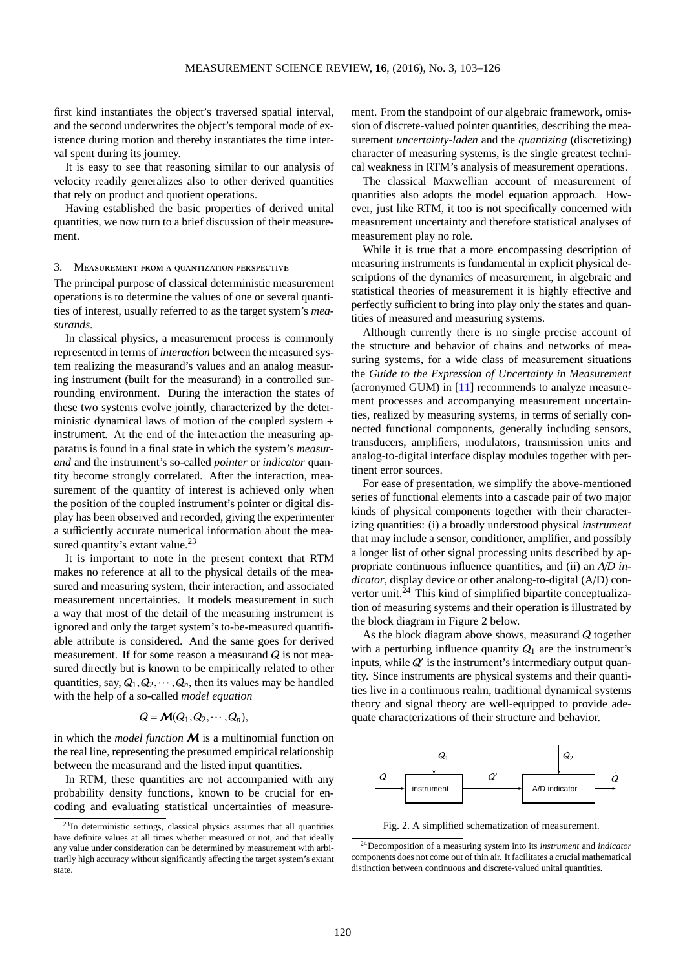first kind instantiates the object's traversed spatial interval, and the second underwrites the object's temporal mode of existence during motion and thereby instantiates the time interval spent during its journey.

It is easy to see that reasoning similar to our analysis of velocity readily generalizes also to other derived quantities that rely on product and quotient operations.

Having established the basic properties of derived unital quantities, we now turn to a brief discussion of their measurement.

#### 3. Measurement from a quantization perspective

The principal purpose of classical deterministic measurement operations is to determine the values of one or several quantities of interest, usually referred to as the target system's *measurands*.

In classical physics, a measurement process is commonly represented in terms of *interaction* between the measured system realizing the measurand's values and an analog measuring instrument (built for the measurand) in a controlled surrounding environment. During the interaction the states of these two systems evolve jointly, characterized by the deterministic dynamical laws of motion of the coupled system + instrument. At the end of the interaction the measuring apparatus is found in a final state in which the system's *measurand* and the instrument's so-called *pointer* or *indicator* quantity become strongly correlated. After the interaction, measurement of the quantity of interest is achieved only when the position of the coupled instrument's pointer or digital display has been observed and recorded, giving the experimenter a sufficiently accurate numerical information about the mea-sured quantity's extant value.<sup>[23](#page-17-0)</sup>

It is important to note in the present context that RTM makes no reference at all to the physical details of the measured and measuring system, their interaction, and associated measurement uncertainties. It models measurement in such a way that most of the detail of the measuring instrument is ignored and only the target system's to-be-measured quantifiable attribute is considered. And the same goes for derived measurement. If for some reason a measurand  $Q$  is not measured directly but is known to be empirically related to other quantities, say,  $Q_1, Q_2, \dots, Q_n$ , then its values may be handled with the help of a so-called *model equation*

$$
Q = \mathcal{M}(Q_1, Q_2, \cdots, Q_n),
$$

in which the *model function*  $M$  is a multinomial function on the real line, representing the presumed empirical relationship between the measurand and the listed input quantities.

In RTM, these quantities are not accompanied with any probability density functions, known to be crucial for encoding and evaluating statistical uncertainties of measurement. From the standpoint of our algebraic framework, omission of discrete-valued pointer quantities, describing the measurement *uncertainty-laden* and the *quantizing* (discretizing) character of measuring systems, is the single greatest technical weakness in RTM's analysis of measurement operations.

The classical Maxwellian account of measurement of quantities also adopts the model equation approach. However, just like RTM, it too is not specifically concerned with measurement uncertainty and therefore statistical analyses of measurement play no role.

While it is true that a more encompassing description of measuring instruments is fundamental in explicit physical descriptions of the dynamics of measurement, in algebraic and statistical theories of measurement it is highly effective and perfectly sufficient to bring into play only the states and quantities of measured and measuring systems.

Although currently there is no single precise account of the structure and behavior of chains and networks of measuring systems, for a wide class of measurement situations the *Guide to the Expression of Uncertainty in Measurement* (acronymed GUM) in [\[11\]](#page-23-13) recommends to analyze measurement processes and accompanying measurement uncertainties, realized by measuring systems, in terms of serially connected functional components, generally including sensors, transducers, amplifiers, modulators, transmission units and analog-to-digital interface display modules together with pertinent error sources.

For ease of presentation, we simplify the above-mentioned series of functional elements into a cascade pair of two major kinds of physical components together with their characterizing quantities: (i) a broadly understood physical *instrument* that may include a sensor, conditioner, amplifier, and possibly a longer list of other signal processing units described by appropriate continuous influence quantities, and (ii) an *A*/*D indicator*, display device or other analong-to-digital (A/D) convertor unit. $^{24}$  $^{24}$  $^{24}$  This kind of simplified bipartite conceptualization of measuring systems and their operation is illustrated by the block diagram in Figure 2 below.

As the block diagram above shows, measurand Q together with a perturbing influence quantity  $Q_1$  are the instrument's inputs, while  $Q'$  is the instrument's intermediary output quantity. Since instruments are physical systems and their quantities live in a continuous realm, traditional dynamical systems theory and signal theory are well-equipped to provide adequate characterizations of their structure and behavior.



Fig. 2. A simplified schematization of measurement.

<span id="page-17-0"></span> $23$ In deterministic settings, classical physics assumes that all quantities have definite values at all times whether measured or not, and that ideally any value under consideration can be determined by measurement with arbitrarily high accuracy without significantly affecting the target system's extant state.

<span id="page-17-1"></span><sup>24</sup>Decomposition of a measuring system into its *instrument* and *indicator* components does not come out of thin air. It facilitates a crucial mathematical distinction between continuous and discrete-valued unital quantities.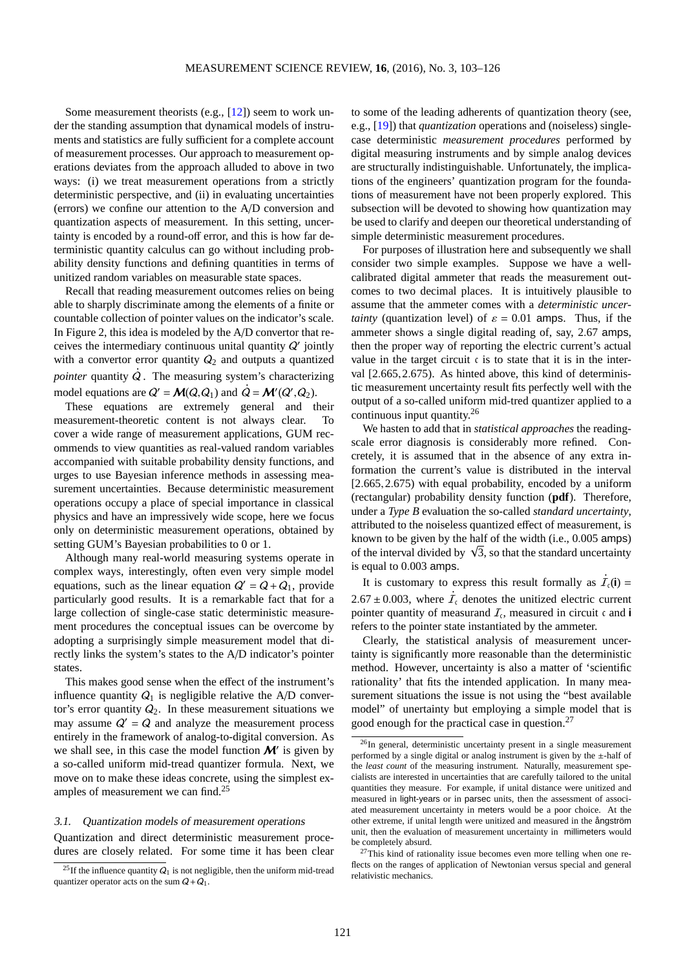Some measurement theorists (e.g.,  $[12]$ ) seem to work under the standing assumption that dynamical models of instruments and statistics are fully sufficient for a complete account of measurement processes. Our approach to measurement operations deviates from the approach alluded to above in two ways: (i) we treat measurement operations from a strictly deterministic perspective, and (ii) in evaluating uncertainties (errors) we confine our attention to the A/D conversion and quantization aspects of measurement. In this setting, uncertainty is encoded by a round-off error, and this is how far deterministic quantity calculus can go without including probability density functions and defining quantities in terms of unitized random variables on measurable state spaces.

Recall that reading measurement outcomes relies on being able to sharply discriminate among the elements of a finite or countable collection of pointer values on the indicator's scale. In Figure 2, this idea is modeled by the A/D convertor that receives the intermediary continuous unital quantity  $Q'$  jointly with a convertor error quantity  $Q_2$  and outputs a quantized *pointer* quantity Q . The measuring system's characterizing **.** model equations are  $Q' = M(Q, Q_1)$  and  $Q = M'(Q', Q_2)$ .

These equations are extremely general and their measurement-theoretic content is not always clear. To cover a wide range of measurement applications, GUM recommends to view quantities as real-valued random variables accompanied with suitable probability density functions, and urges to use Bayesian inference methods in assessing measurement uncertainties. Because deterministic measurement operations occupy a place of special importance in classical physics and have an impressively wide scope, here we focus only on deterministic measurement operations, obtained by setting GUM's Bayesian probabilities to 0 or 1.

Although many real-world measuring systems operate in complex ways, interestingly, often even very simple model equations, such as the linear equation  $Q' = Q + Q_1$ , provide particularly good results. It is a remarkable fact that for a large collection of single-case static deterministic measurement procedures the conceptual issues can be overcome by adopting a surprisingly simple measurement model that directly links the system's states to the A/D indicator's pointer states.

This makes good sense when the effect of the instrument's influence quantity  $Q_1$  is negligible relative the A/D convertor's error quantity  $Q_2$ . In these measurement situations we may assume  $Q' = Q$  and analyze the measurement process entirely in the framework of analog-to-digital conversion. As we shall see, in this case the model function  $\mathcal{M}'$  is given by a so-called uniform mid-tread quantizer formula. Next, we move on to make these ideas concrete, using the simplest ex-amples of measurement we can find.<sup>[25](#page-18-0)</sup>

#### 3.1. Quantization models of measurement operations

Quantization and direct deterministic measurement procedures are closely related. For some time it has been clear to some of the leading adherents of quantization theory (see, e.g., [\[19\]](#page-23-15)) that *quantization* operations and (noiseless) singlecase deterministic *measurement procedures* performed by digital measuring instruments and by simple analog devices are structurally indistinguishable. Unfortunately, the implications of the engineers' quantization program for the foundations of measurement have not been properly explored. This subsection will be devoted to showing how quantization may be used to clarify and deepen our theoretical understanding of simple deterministic measurement procedures.

For purposes of illustration here and subsequently we shall consider two simple examples. Suppose we have a wellcalibrated digital ammeter that reads the measurement outcomes to two decimal places. It is intuitively plausible to assume that the ammeter comes with a *deterministic uncertainty* (quantization level) of  $\varepsilon = 0.01$  amps. Thus, if the ammeter shows a single digital reading of, say, 2.67 amps, then the proper way of reporting the electric current's actual value in the target circuit  $\epsilon$  is to state that it is in the interval [2.665, 2.675). As hinted above, this kind of deterministic measurement uncertainty result fits perfectly well with the output of a so-called uniform mid-tred quantizer applied to a continuous input quantity.[26](#page-18-1)

We hasten to add that in *statistical approaches* the readingscale error diagnosis is considerably more refined. Concretely, it is assumed that in the absence of any extra information the current's value is distributed in the interval [2.665,2.675) with equal probability, encoded by a uniform (rectangular) probability density function (**pdf**). Therefore, under a *Type B* evaluation the so-called *standard uncertainty*, attributed to the noiseless quantized effect of measurement, is known to be given by the half of the width (i.e., 0.005 amps) of the interval divided by  $\sqrt{3}$ , so that the standard uncertainty is equal to 0.003 amps.

It is customary to express this result formally as  $\vec{J}_c(i)$  =  $2.67 \pm 0.003$ , where  $I<sub>c</sub>$  denotes the unitized electric current pointer quantity of measurand  $\mathcal{I}_c$ , measured in circuit c and i refers to the pointer state instantiated by the ammeter.

Clearly, the statistical analysis of measurement uncertainty is significantly more reasonable than the deterministic method. However, uncertainty is also a matter of 'scientific rationality' that fits the intended application. In many measurement situations the issue is not using the "best available model" of unertainty but employing a simple model that is good enough for the practical case in question.[27](#page-18-2)

<span id="page-18-0"></span><sup>&</sup>lt;sup>25</sup>If the influence quantity  $Q_1$  is not negligible, then the uniform mid-tread quantizer operator acts on the sum  $Q+Q_1$ .

<span id="page-18-1"></span><sup>&</sup>lt;sup>26</sup>In general, deterministic uncertainty present in a single measurement performed by a single digital or analog instrument is given by the ±-half of the *least count* of the measuring instrument. Naturally, measurement specialists are interested in uncertainties that are carefully tailored to the unital quantities they measure. For example, if unital distance were unitized and measured in light-years or in parsec units, then the assessment of associated measurement uncertainty in meters would be a poor choice. At the other extreme, if unital length were unitized and measured in the ångström unit, then the evaluation of measurement uncertainty in millimeters would be completely absurd.

<span id="page-18-2"></span> $27$ This kind of rationality issue becomes even more telling when one reflects on the ranges of application of Newtonian versus special and general relativistic mechanics.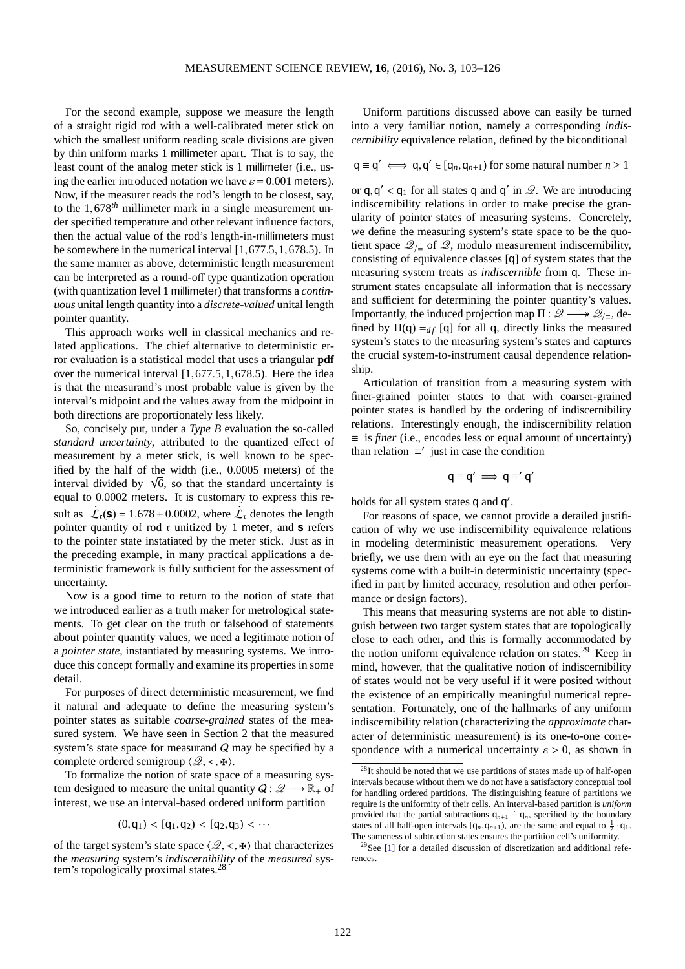For the second example, suppose we measure the length of a straight rigid rod with a well-calibrated meter stick on which the smallest uniform reading scale divisions are given by thin uniform marks 1 millimeter apart. That is to say, the least count of the analog meter stick is 1 millimeter (i.e., using the earlier introduced notation we have  $\varepsilon = 0.001$  meters). Now, if the measurer reads the rod's length to be closest, say, to the 1,678*th* millimeter mark in a single measurement under specified temperature and other relevant influence factors, then the actual value of the rod's length-in-millimeters must be somewhere in the numerical interval [1,677.5,1,678.5). In the same manner as above, deterministic length measurement can be interpreted as a round-off type quantization operation (with quantization level 1 millimeter) that transforms a *continuous* unital length quantity into a *discrete-valued* unital length pointer quantity.

This approach works well in classical mechanics and related applications. The chief alternative to deterministic error evaluation is a statistical model that uses a triangular **pdf** over the numerical interval [1,677.5,1,678.5). Here the idea is that the measurand's most probable value is given by the interval's midpoint and the values away from the midpoint in both directions are proportionately less likely.

So, concisely put, under a *Type B* evaluation the so-called *standard uncertainty*, attributed to the quantized effect of measurement by a meter stick, is well known to be specified by the half of the width (i.e., 0.0005 meters) of the interval divided by  $\sqrt{6}$ , so that the standard uncertainty is equal to 0.0002 meters. It is customary to express this re-**. .** sult as  $\mathcal{L}_r(\mathbf{s}) = 1.678 \pm 0.0002$ , where  $\mathcal{L}_r$  denotes the length pointer quantity of rod  $r$  unitized by 1 meter, and  $s$  refers to the pointer state instatiated by the meter stick. Just as in the preceding example, in many practical applications a deterministic framework is fully sufficient for the assessment of uncertainty.

Now is a good time to return to the notion of state that we introduced earlier as a truth maker for metrological statements. To get clear on the truth or falsehood of statements about pointer quantity values, we need a legitimate notion of a *pointer state*, instantiated by measuring systems. We introduce this concept formally and examine its properties in some detail.

For purposes of direct deterministic measurement, we find it natural and adequate to define the measuring system's pointer states as suitable *coarse-grained* states of the measured system. We have seen in Section 2 that the measured system's state space for measurand  $Q$  may be specified by a complete ordered semigroup  $\langle \mathcal{Q}, \prec, \star \rangle$ .

To formalize the notion of state space of a measuring system designed to measure the unital quantity  $Q: \mathscr{Q} \longrightarrow \mathbb{R}_+$  of interest, we use an interval-based ordered uniform partition

$$
(0,q_1) < [q_1,q_2) < [q_2,q_3) < \cdots
$$

of the target system's state space  $\langle \mathcal{Q}, \prec, \mathbf{F} \rangle$  that characterizes the *measuring* system's *indiscernibility* of the *measured* sys-tem's topologically proximal states.<sup>[28](#page-19-0)</sup>

Uniform partitions discussed above can easily be turned into a very familiar notion, namely a corresponding *indiscernibility* equivalence relation, defined by the biconditional

$$
q \equiv q' \iff q, q' \in [q_n, q_{n+1})
$$
 for some natural number  $n \ge 1$ 

or  $q, q' < q_1$  for all states q and q' in  $\mathcal{Q}$ . We are introducing indiscernibility relations in order to make precise the granularity of pointer states of measuring systems. Concretely, we define the measuring system's state space to be the quotient space  $\mathcal{Q}_{\text{I}}$  of  $\mathcal{Q}$ , modulo measurement indiscernibility, consisting of equivalence classes [q] of system states that the measuring system treats as *indiscernible* from q. These instrument states encapsulate all information that is necessary and sufficient for determining the pointer quantity's values. Importantly, the induced projection map  $\Pi : \mathscr{Q} \longrightarrow \mathscr{Q}_{\text{F}}$ , defined by  $\Pi(q) =_{df} [q]$  for all q, directly links the measured system's states to the measuring system's states and captures the crucial system-to-instrument causal dependence relationship.

Articulation of transition from a measuring system with finer-grained pointer states to that with coarser-grained pointer states is handled by the ordering of indiscernibility relations. Interestingly enough, the indiscernibility relation ≡ is *finer* (i.e., encodes less or equal amount of uncertainty) than relation  $\equiv'$  just in case the condition

$$
q \equiv q' \implies q \equiv' q'
$$

holds for all system states q and q'.

For reasons of space, we cannot provide a detailed justification of why we use indiscernibility equivalence relations in modeling deterministic measurement operations. Very briefly, we use them with an eye on the fact that measuring systems come with a built-in deterministic uncertainty (specified in part by limited accuracy, resolution and other performance or design factors).

This means that measuring systems are not able to distinguish between two target system states that are topologically close to each other, and this is formally accommodated by the notion uniform equivalence relation on states.<sup>[29](#page-19-1)</sup> Keep in mind, however, that the qualitative notion of indiscernibility of states would not be very useful if it were posited without the existence of an empirically meaningful numerical representation. Fortunately, one of the hallmarks of any uniform indiscernibility relation (characterizing the *approximate* character of deterministic measurement) is its one-to-one correspondence with a numerical uncertainty  $\varepsilon > 0$ , as shown in

<span id="page-19-0"></span><sup>&</sup>lt;sup>28</sup>It should be noted that we use partitions of states made up of half-open intervals because without them we do not have a satisfactory conceptual tool for handling ordered partitions. The distinguishing feature of partitions we require is the uniformity of their cells. An interval-based partition is *uniform* provided that the partial subtractions  $q_{n+1} - q_n$ , specified by the boundary states of all half-open intervals  $[q_n, q_{n+1})$ , are the same and equal to  $\frac{1}{2} \cdot q_1$ . The sameness of subtraction states ensures the partition cell's uniformity.

<span id="page-19-1"></span> $29$ See [\[1\]](#page-22-1) for a detailed discussion of discretization and additional references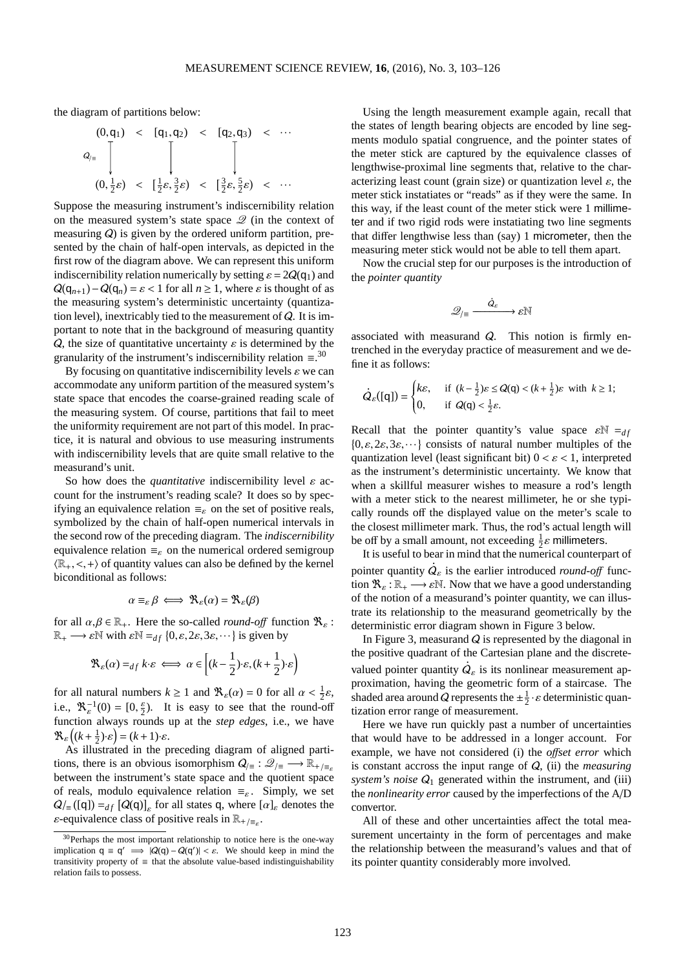the diagram of partitions below:

$$
(0, q_1) < [q_1, q_2) < [q_2, q_3) < \cdots
$$
  
\n
$$
Q_{/\equiv} \begin{bmatrix} 0, \frac{1}{2} \varepsilon, \frac{3}{2} \varepsilon, \frac{3}{2} \varepsilon, \frac{3}{2} \varepsilon \end{bmatrix} < [q_2, q_3) < \cdots
$$

Suppose the measuring instrument's indiscernibility relation on the measured system's state space  $\mathcal{Q}$  (in the context of measuring Q) is given by the ordered uniform partition, presented by the chain of half-open intervals, as depicted in the first row of the diagram above. We can represent this uniform indiscernibility relation numerically by setting  $\varepsilon = 2Q(q_1)$  and  $Q(q_{n+1}) - Q(q_n) = \varepsilon < 1$  for all  $n \ge 1$ , where  $\varepsilon$  is thought of as the measuring system's deterministic uncertainty (quantization level), inextricably tied to the measurement of Q. It is important to note that in the background of measuring quantity  $Q$ , the size of quantitative uncertainty  $\varepsilon$  is determined by the granularity of the instrument's indiscernibility relation  $\equiv$ .<sup>[30](#page-20-0)</sup>

By focusing on quantitative indiscernibility levels  $\varepsilon$  we can accommodate any uniform partition of the measured system's state space that encodes the coarse-grained reading scale of the measuring system. Of course, partitions that fail to meet the uniformity requirement are not part of this model. In practice, it is natural and obvious to use measuring instruments with indiscernibility levels that are quite small relative to the measurand's unit.

So how does the *quantitative* indiscernibility level  $\varepsilon$  account for the instrument's reading scale? It does so by specifying an equivalence relation  $\equiv_{\varepsilon}$  on the set of positive reals, symbolized by the chain of half-open numerical intervals in the second row of the preceding diagram. The *indiscernibility* equivalence relation  $\equiv_{\varepsilon}$  on the numerical ordered semigroup  $\langle \mathbb{R}_+, \langle , + \rangle$  of quantity values can also be defined by the kernel biconditional as follows:

$$
\alpha \equiv_{\varepsilon} \beta \iff \mathfrak{R}_{\varepsilon}(\alpha) = \mathfrak{R}_{\varepsilon}(\beta)
$$

for all  $\alpha, \beta \in \mathbb{R}_+$ . Here the so-called *round-off* function  $\mathcal{R}_{\varepsilon}$ :  $\mathbb{R}_+ \longrightarrow \varepsilon \mathbb{N}$  with  $\varepsilon \mathbb{N} =_{df} \{0, \varepsilon, 2\varepsilon, 3\varepsilon, \dots\}$  is given by

$$
\mathfrak{R}_\varepsilon(\alpha) =_{df} k \cdot \varepsilon \iff \alpha \in \left[ (k - \frac{1}{2}) \cdot \varepsilon, (k + \frac{1}{2}) \cdot \varepsilon \right)
$$

for all natural numbers  $k \ge 1$  and  $\Re_{\varepsilon}(\alpha) = 0$  for all  $\alpha < \frac{1}{2}\varepsilon$ , i.e.,  $\mathcal{R}_{\varepsilon}^{-1}(0) = [0, \frac{\varepsilon}{2})$ . It is easy to see that the round-off function always rounds up at the *step edges*, i.e., we have  $\mathfrak{R}_{\varepsilon}\left((k+\frac{1}{2})\cdot\varepsilon\right)=(k+1)\cdot\varepsilon.$ 

As illustrated in the preceding diagram of aligned partitions, there is an obvious isomorphism  $Q_{/\equiv} : \mathscr{Q}_{/\equiv} \longrightarrow \mathbb{R}_{+\sqrt{\equiv}S}$ between the instrument's state space and the quotient space of reals, modulo equivalence relation  $\equiv_{\varepsilon}$ . Simply, we set  $Q/_{\equiv}([q]) =_{df} [Q(q)]_{\varepsilon}$  for all states q, where  $[\alpha]_{\varepsilon}$  denotes the  $\varepsilon$ -equivalence class of positive reals in  $\mathbb{R}_{+/\equiv_{\varepsilon}}$ .

Using the length measurement example again, recall that the states of length bearing objects are encoded by line segments modulo spatial congruence, and the pointer states of the meter stick are captured by the equivalence classes of lengthwise-proximal line segments that, relative to the characterizing least count (grain size) or quantization level  $\varepsilon$ , the meter stick instatiates or "reads" as if they were the same. In this way, if the least count of the meter stick were 1 millimeter and if two rigid rods were instatiating two line segments that differ lengthwise less than (say) 1 micrometer, then the measuring meter stick would not be able to tell them apart.

Now the crucial step for our purposes is the introduction of the *pointer quantity*

$$
\mathscr{Q}_{/\equiv} \xrightarrow{\dot{Q}_{\varepsilon}} \varepsilon \mathbb{N}
$$

associated with measurand Q. This notion is firmly entrenched in the everyday practice of measurement and we define it as follows:

$$
\dot{Q}_{\varepsilon}([q]) = \begin{cases} k\varepsilon, & \text{if } (k - \frac{1}{2})\varepsilon \leq Q(q) < (k + \frac{1}{2})\varepsilon \text{ with } k \geq 1; \\ 0, & \text{if } Q(q) < \frac{1}{2}\varepsilon. \end{cases}
$$

Recall that the pointer quantity's value space  $\varepsilon N = d_f$  $\{0, \varepsilon, 2\varepsilon, 3\varepsilon, \dots\}$  consists of natural number multiples of the quantization level (least significant bit)  $0 < \varepsilon < 1$ , interpreted as the instrument's deterministic uncertainty. We know that when a skillful measurer wishes to measure a rod's length with a meter stick to the nearest millimeter, he or she typically rounds off the displayed value on the meter's scale to the closest millimeter mark. Thus, the rod's actual length will be off by a small amount, not exceeding  $\frac{1}{2}\varepsilon$  millimeters.

It is useful to bear in mind that the numerical counterpart of **.** pointer quantity  $Q_{\varepsilon}$  is the earlier introduced *round-off* function  $\mathfrak{R}_{\varepsilon} : \mathbb{R}_{+} \longrightarrow \varepsilon \mathbb{N}$ . Now that we have a good understanding of the notion of a measurand's pointer quantity, we can illustrate its relationship to the measurand geometrically by the deterministic error diagram shown in Figure 3 below.

In Figure 3, measurand  $Q$  is represented by the diagonal in the positive quadrant of the Cartesian plane and the discrete-**.** valued pointer quantity  $Q_{\varepsilon}$  is its nonlinear measurement approximation, having the geometric form of a staircase. The shaded area around Q represents the  $\pm \frac{1}{2} \cdot \varepsilon$  deterministic quantization error range of measurement.

Here we have run quickly past a number of uncertainties that would have to be addressed in a longer account. For example, we have not considered (i) the *o*ff*set error* which is constant accross the input range of Q, (ii) the *measuring system's noise*  $Q_1$  generated within the instrument, and (iii) the *nonlinearity error* caused by the imperfections of the A/D convertor.

All of these and other uncertainties affect the total measurement uncertainty in the form of percentages and make the relationship between the measurand's values and that of its pointer quantity considerably more involved.

<span id="page-20-0"></span> $30$ Perhaps the most important relationship to notice here is the one-way implication  $q \equiv q' \implies |Q(q) - Q(q')| < \varepsilon$ . We should keep in mind the transitivity property of  $\equiv$  that the absolute value-based indistinguishability relation fails to possess.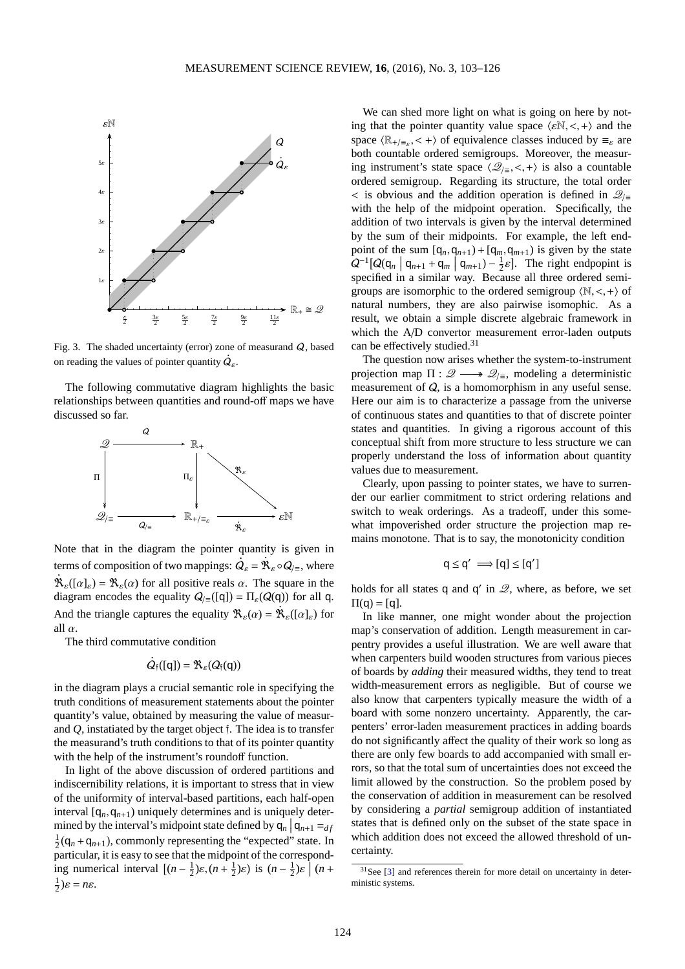

Fig. 3. The shaded uncertainty (error) zone of measurand Q, based **.** on reading the values of pointer quantity  $Q_{\varepsilon}$ .

The following commutative diagram highlights the basic relationships between quantities and round-off maps we have discussed so far.



Note that in the diagram the pointer quantity is given in **.** terms of composition of two mappings:  $\vec{Q}_{\varepsilon} = \mathbb{R}_{\varepsilon} \circ \vec{Q}_{\vert \equiv}$ , where  $\mathcal{R}_{\varepsilon}([\alpha]_{\varepsilon}) = \mathcal{R}_{\varepsilon}(\alpha)$  for all positive reals  $\alpha$ . The square in the diagram encodes the equality  $Q_{\parallel} \equiv (\text{[q]}) = \Pi_{\varepsilon}(Q(\text{q}))$  for all q. And the triangle captures the equality  $\mathcal{R}_{\varepsilon}(\alpha) = \mathcal{R}_{\varepsilon}([\alpha]_{\varepsilon})$  for all  $\alpha$ .

The third commutative condition

$$
\dot{Q}_{\mathfrak{f}}([q]) = \mathfrak{R}_{\varepsilon}(Q_{\mathfrak{f}}(q))
$$

in the diagram plays a crucial semantic role in specifying the truth conditions of measurement statements about the pointer quantity's value, obtained by measuring the value of measurand *Q*, instatiated by the target object f. The idea is to transfer the measurand's truth conditions to that of its pointer quantity with the help of the instrument's roundoff function.

In light of the above discussion of ordered partitions and indiscernibility relations, it is important to stress that in view of the uniformity of interval-based partitions, each half-open interval  $[q_n, q_{n+1})$  uniquely determines and is uniquely determined by the interval's midpoint state defined by  $q_n | q_{n+1} = d_f$  $\frac{1}{2}$ ( $q_n + q_{n+1}$ ), commonly representing the "expected" state. In particular, it is easy to see that the midpoint of the corresponding numerical interval  $[(n - \frac{1}{2})\varepsilon, (n + \frac{1}{2})\varepsilon)$  is  $(n - \frac{1}{2})\varepsilon \left[ (n + \frac{1}{2})\varepsilon \right]$  $rac{1}{2}$ )ε = *nε*.

We can shed more light on what is going on here by noting that the pointer quantity value space  $\langle \varepsilon N, \langle +\rangle$  and the space  $\langle \mathbb{R}_{+/\equiv_{\varepsilon}}, \langle +\rangle$  of equivalence classes induced by  $\equiv_{\varepsilon}$  are both countable ordered semigroups. Moreover, the measuring instrument's state space  $\langle \mathcal{Q}_{\mid \equiv}, \langle , + \rangle$  is also a countable ordered semigroup. Regarding its structure, the total order  $\lt$  is obvious and the addition operation is defined in  $\mathcal{Q}_{\mid \equiv}$ with the help of the midpoint operation. Specifically, the addition of two intervals is given by the interval determined by the sum of their midpoints. For example, the left endpoint of the sum  $[q_n, q_{n+1}) + [q_m, q_{m+1})$  is given by the state  $Q^{-1}[Q(q_n | q_{n+1} + q_m | q_{m+1}) - \frac{1}{2}\varepsilon]$ . The right endpopint is specified in a similar way. Because all three ordered semigroups are isomorphic to the ordered semigroup  $\langle \mathbb{N}, \langle + \rangle$  of natural numbers, they are also pairwise isomophic. As a result, we obtain a simple discrete algebraic framework in which the A/D convertor measurement error-laden outputs can be effectively studied.<sup>[31](#page-21-0)</sup>

The question now arises whether the system-to-instrument projection map  $\Pi : \mathscr{Q} \longrightarrow \mathscr{Q}_{\text{F}}$ , modeling a deterministic measurement of Q, is a homomorphism in any useful sense. Here our aim is to characterize a passage from the universe of continuous states and quantities to that of discrete pointer states and quantities. In giving a rigorous account of this conceptual shift from more structure to less structure we can properly understand the loss of information about quantity values due to measurement.

Clearly, upon passing to pointer states, we have to surrender our earlier commitment to strict ordering relations and switch to weak orderings. As a tradeoff, under this somewhat impoverished order structure the projection map remains monotone. That is to say, the monotonicity condition

$$
q \le q' \implies [q] \le [q']
$$

holds for all states  $q$  and  $q'$  in  $\mathcal{Q}$ , where, as before, we set  $\Pi(q) = [q]$ .

In like manner, one might wonder about the projection map's conservation of addition. Length measurement in carpentry provides a useful illustration. We are well aware that when carpenters build wooden structures from various pieces of boards by *adding* their measured widths, they tend to treat width-measurement errors as negligible. But of course we also know that carpenters typically measure the width of a board with some nonzero uncertainty. Apparently, the carpenters' error-laden measurement practices in adding boards do not significantly affect the quality of their work so long as there are only few boards to add accompanied with small errors, so that the total sum of uncertainties does not exceed the limit allowed by the construction. So the problem posed by the conservation of addition in measurement can be resolved by considering a *partial* semigroup addition of instantiated states that is defined only on the subset of the state space in which addition does not exceed the allowed threshold of uncertainty.

<span id="page-21-0"></span> $31$  See [\[3\]](#page-22-2) and references therein for more detail on uncertainty in deterministic systems.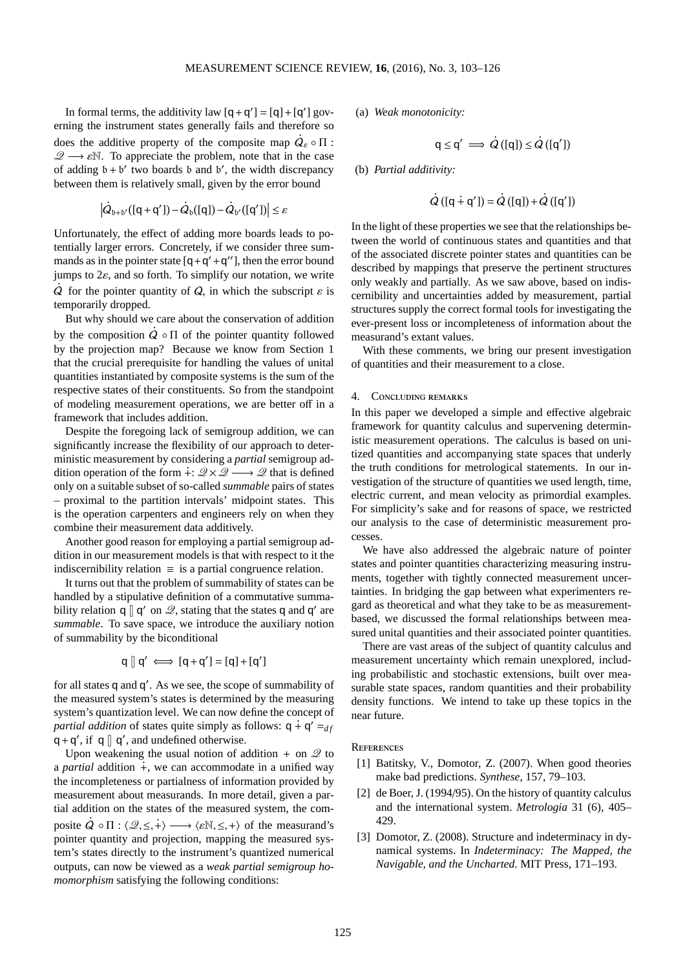In formal terms, the additivity law  $[q + q'] = [q] + [q']$  governing the instrument states generally fails and therefore so **.** does the additive property of the composite map  $Q_{\varepsilon} \circ \Pi$ :  $\mathscr{Q} \longrightarrow \mathscr{E} \mathbb{N}$ . To appreciate the problem, note that in the case of adding  $b + b'$  two boards b and b', the width discrepancy between them is relatively small, given by the error bound

$$
\left| \dot{Q}_{\mathfrak{b} + \mathfrak{b}'}([\mathsf{q} + \mathsf{q}']) - \dot{Q}_{\mathfrak{b}}([\mathsf{q}]) - \dot{Q}_{\mathfrak{b}'}([\mathsf{q}']) \right| \leq \epsilon
$$

Unfortunately, the effect of adding more boards leads to potentially larger errors. Concretely, if we consider three summands as in the pointer state  $[q+q'+q'']$ , then the error bound jumps to 2ε, and so forth. To simplify our notation, we write **.**  $\dot{Q}$  for the pointer quantity of  $Q$ , in which the subscript  $\varepsilon$  is temporarily dropped.

But why should we care about the conservation of addition **.** by the composition  $Q \circ \Pi$  of the pointer quantity followed by the projection map? Because we know from Section 1 that the crucial prerequisite for handling the values of unital quantities instantiated by composite systems is the sum of the respective states of their constituents. So from the standpoint of modeling measurement operations, we are better off in a framework that includes addition.

Despite the foregoing lack of semigroup addition, we can significantly increase the flexibility of our approach to deterministic measurement by considering a *partial* semigroup addition operation of the form  $\frac{1}{2}$ :  $\mathcal{Q} \times \mathcal{Q} \longrightarrow \mathcal{Q}$  that is defined only on a suitable subset of so-called *summable* pairs of states – proximal to the partition intervals' midpoint states. This is the operation carpenters and engineers rely on when they combine their measurement data additively.

Another good reason for employing a partial semigroup addition in our measurement models is that with respect to it the indiscernibility relation  $\equiv$  is a partial congruence relation.

It turns out that the problem of summability of states can be handled by a stipulative definition of a commutative summability relation  $q \parallel q'$  on  $\mathcal{Q}$ , stating that the states q and q' are *summable*. To save space, we introduce the auxiliary notion of summability by the biconditional

$$
q \mathbin{[} q' \iff [q+q'] = [q] + [q']
$$

for all states q and q ′ . As we see, the scope of summability of the measured system's states is determined by the measuring system's quantization level. We can now define the concept of *partial addition* of states quite simply as follows:  $q + q' = f/d$  $q + q'$ , if q | q', and undefined otherwise.

Upon weakening the usual notion of addition  $+$  on  $\mathcal{Q}$  to a *partial* addition  $\dot{+}$ , we can accommodate in a unified way the incompleteness or partialness of information provided by measurement about measurands. In more detail, given a partial addition on the states of the measured system, the com-**.** posite  $\hat{Q} \circ \Pi : \langle \mathcal{Q}, \le, + \rangle \longrightarrow \langle \varepsilon \mathbb{N}, \le, + \rangle$  of the measurand's pointer quantity and projection, mapping the measured system's states directly to the instrument's quantized numerical outputs, can now be viewed as a *weak partial semigroup homomorphism* satisfying the following conditions:

(a) *Weak monotonicity:*

$$
q \le q' \implies \dot{Q}([q]) \le \dot{Q}([q'])
$$

(b) *Partial additivity:*

$$
\dot{Q}([q \dot{+} q']) = \dot{Q}([q]) + \dot{Q}([q'])
$$

In the light of these properties we see that the relationships between the world of continuous states and quantities and that of the associated discrete pointer states and quantities can be described by mappings that preserve the pertinent structures only weakly and partially. As we saw above, based on indiscernibility and uncertainties added by measurement, partial structures supply the correct formal tools for investigating the ever-present loss or incompleteness of information about the measurand's extant values.

With these comments, we bring our present investigation of quantities and their measurement to a close.

# 4. Concluding remarks

In this paper we developed a simple and effective algebraic framework for quantity calculus and supervening deterministic measurement operations. The calculus is based on unitized quantities and accompanying state spaces that underly the truth conditions for metrological statements. In our investigation of the structure of quantities we used length, time, electric current, and mean velocity as primordial examples. For simplicity's sake and for reasons of space, we restricted our analysis to the case of deterministic measurement processes.

We have also addressed the algebraic nature of pointer states and pointer quantities characterizing measuring instruments, together with tightly connected measurement uncertainties. In bridging the gap between what experimenters regard as theoretical and what they take to be as measurementbased, we discussed the formal relationships between measured unital quantities and their associated pointer quantities.

There are vast areas of the subject of quantity calculus and measurement uncertainty which remain unexplored, including probabilistic and stochastic extensions, built over measurable state spaces, random quantities and their probability density functions. We intend to take up these topics in the near future.

### <span id="page-22-1"></span>**REFERENCES**

- [1] Batitsky, V., Domotor, Z. (2007). When good theories make bad predictions. *Synthese*, 157, 79–103.
- <span id="page-22-0"></span>[2] de Boer, J. (1994/95). On the history of quantity calculus and the international system. *Metrologia* 31 (6), 405– 429.
- <span id="page-22-2"></span>[3] Domotor, Z. (2008). Structure and indeterminacy in dynamical systems. In *Indeterminacy: The Mapped, the Navigable, and the Uncharted*. MIT Press, 171–193.